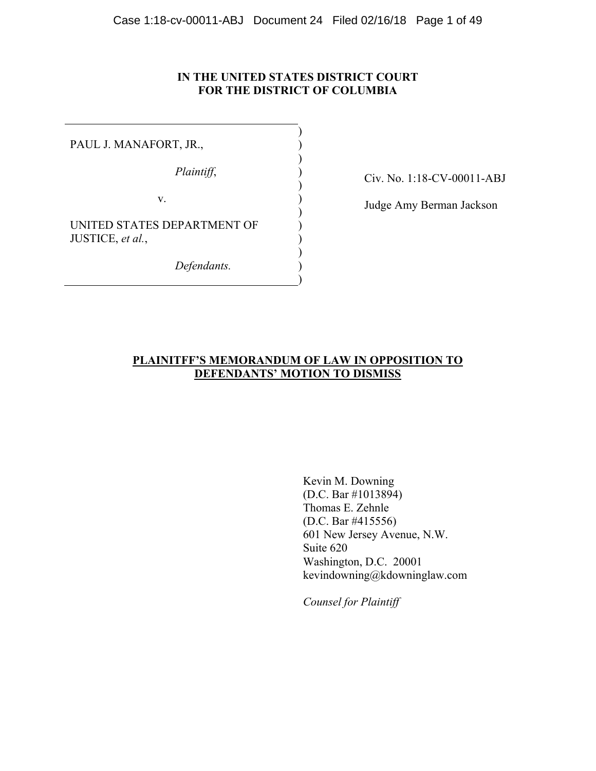### **IN THE UNITED STATES DISTRICT COURT FOR THE DISTRICT OF COLUMBIA**

) ) ) ) ) ) ) ) ) ) ) )

PAUL J. MANAFORT, JR.,

*Plaintiff*,

v.

UNITED STATES DEPARTMENT OF JUSTICE, *et al.*,

*Defendants.*

Civ. No. 1:18-CV-00011-ABJ

Judge Amy Berman Jackson

## **PLAINITFF'S MEMORANDUM OF LAW IN OPPOSITION TO DEFENDANTS' MOTION TO DISMISS**

 Kevin M. Downing (D.C. Bar #1013894) Thomas E. Zehnle (D.C. Bar #415556) 601 New Jersey Avenue, N.W. Suite 620 Washington, D.C. 20001 kevindowning@kdowninglaw.com

*Counsel for Plaintiff*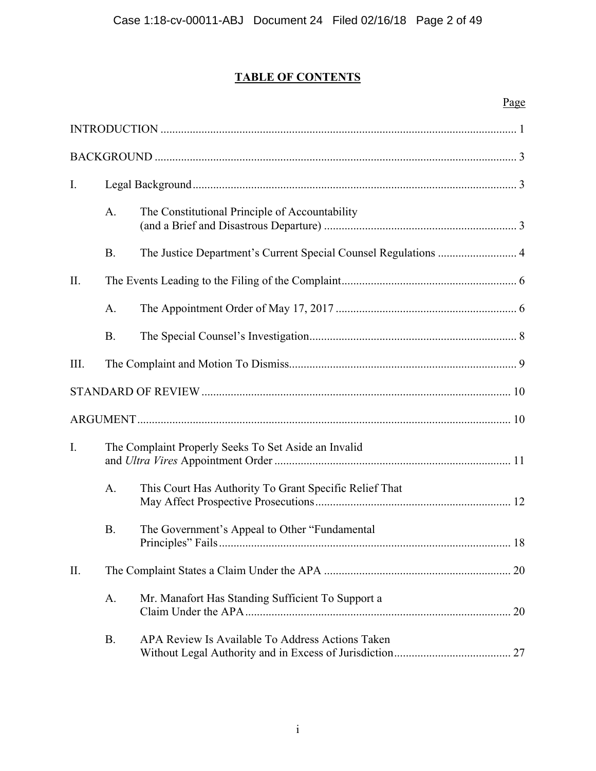# **TABLE OF CONTENTS**

## Page

| I.  |           |                                                                 |
|-----|-----------|-----------------------------------------------------------------|
|     | A.        | The Constitutional Principle of Accountability                  |
|     | <b>B.</b> | The Justice Department's Current Special Counsel Regulations  4 |
| II. |           |                                                                 |
|     | A.        |                                                                 |
|     | <b>B.</b> |                                                                 |
| Ш.  |           |                                                                 |
|     |           |                                                                 |
|     |           |                                                                 |
| I.  |           | The Complaint Properly Seeks To Set Aside an Invalid            |
|     | A.        | This Court Has Authority To Grant Specific Relief That          |
|     | <b>B.</b> | The Government's Appeal to Other "Fundamental"                  |
| II. |           |                                                                 |
|     | A.        | Mr. Manafort Has Standing Sufficient To Support a               |
|     | <b>B.</b> | APA Review Is Available To Address Actions Taken                |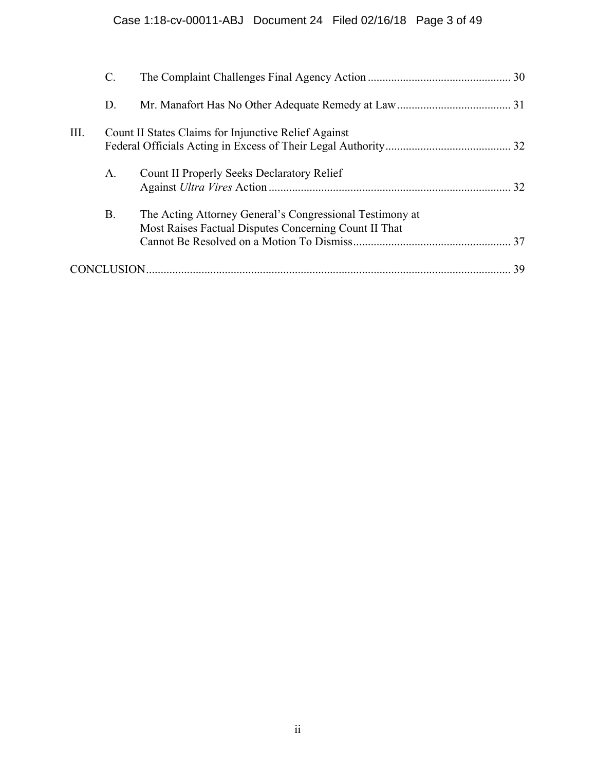|      | $\mathcal{C}$ . |                                                                                                                   |    |
|------|-----------------|-------------------------------------------------------------------------------------------------------------------|----|
|      | D.              |                                                                                                                   |    |
| III. |                 | Count II States Claims for Injunctive Relief Against                                                              |    |
|      | A.              | Count II Properly Seeks Declaratory Relief                                                                        |    |
|      | <b>B.</b>       | The Acting Attorney General's Congressional Testimony at<br>Most Raises Factual Disputes Concerning Count II That |    |
|      |                 |                                                                                                                   | 39 |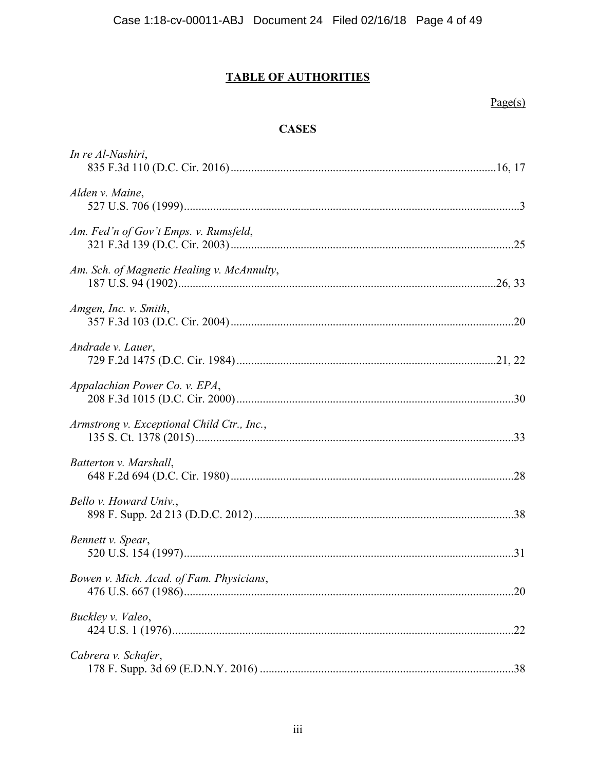## **TABLE OF AUTHORITIES**

## $Page(s)$

## **CASES**

| In re Al-Nashiri,                          |
|--------------------------------------------|
| Alden v. Maine,                            |
| Am. Fed'n of Gov't Emps. v. Rumsfeld,      |
| Am. Sch. of Magnetic Healing v. McAnnulty, |
| Amgen, Inc. v. Smith,                      |
| Andrade v. Lauer,                          |
| Appalachian Power Co. v. EPA,              |
| Armstrong v. Exceptional Child Ctr., Inc., |
| Batterton v. Marshall,                     |
| Bello v. Howard Univ.,                     |
| Bennett v. Spear,                          |
| Bowen v. Mich. Acad. of Fam. Physicians,   |
| Buckley v. Valeo,                          |
| Cabrera v. Schafer,                        |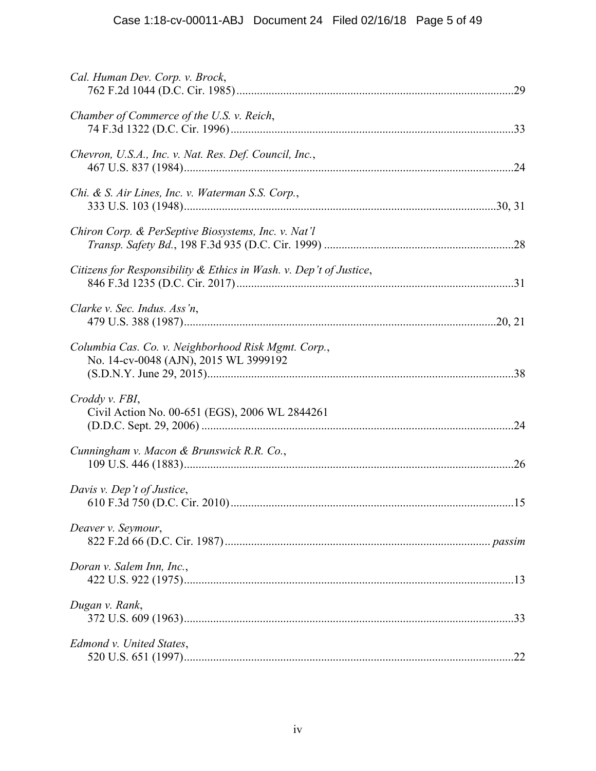| Cal. Human Dev. Corp. v. Brock,                                                              |
|----------------------------------------------------------------------------------------------|
| Chamber of Commerce of the U.S. v. Reich,                                                    |
| Chevron, U.S.A., Inc. v. Nat. Res. Def. Council, Inc.,                                       |
| Chi. & S. Air Lines, Inc. v. Waterman S.S. Corp.,                                            |
| Chiron Corp. & PerSeptive Biosystems, Inc. v. Nat'l                                          |
| Citizens for Responsibility & Ethics in Wash. v. Dep't of Justice,                           |
| Clarke v. Sec. Indus. Ass'n,                                                                 |
| Columbia Cas. Co. v. Neighborhood Risk Mgmt. Corp.,<br>No. 14-cv-0048 (AJN), 2015 WL 3999192 |
| Croddy v. FBI,<br>Civil Action No. 00-651 (EGS), 2006 WL 2844261                             |
| Cunningham v. Macon & Brunswick R.R. Co.,                                                    |
| Davis v. Dep't of Justice,                                                                   |
| Deaver v. Seymour,                                                                           |
| Doran v. Salem Inn, Inc.,                                                                    |
| Dugan v. Rank,                                                                               |
| Edmond v. United States,                                                                     |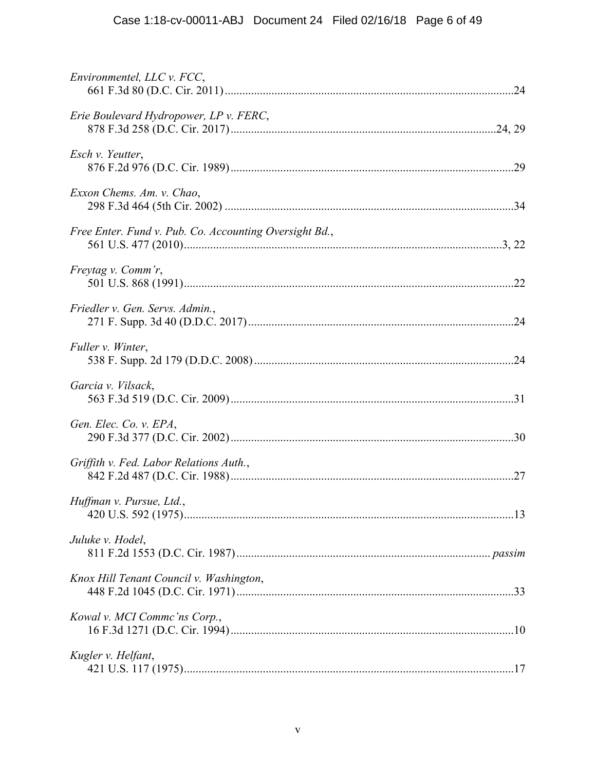| Environmentel, LLC v. FCC,                             |  |
|--------------------------------------------------------|--|
| Erie Boulevard Hydropower, LP v. FERC,                 |  |
| Esch v. Yeutter,                                       |  |
| Exxon Chems. Am. v. Chao,                              |  |
| Free Enter. Fund v. Pub. Co. Accounting Oversight Bd., |  |
| Freytag v. Comm'r,                                     |  |
| Friedler v. Gen. Servs. Admin.,                        |  |
| Fuller v. Winter,                                      |  |
| Garcia v. Vilsack,                                     |  |
| Gen. Elec. Co. v. EPA,                                 |  |
| Griffith v. Fed. Labor Relations Auth.,                |  |
| Huffman v. Pursue, Ltd.,                               |  |
| Juluke v. Hodel,                                       |  |
| Knox Hill Tenant Council v. Washington,                |  |
| Kowal v. MCI Comme'ns Corp.,                           |  |
| Kugler v. Helfant,                                     |  |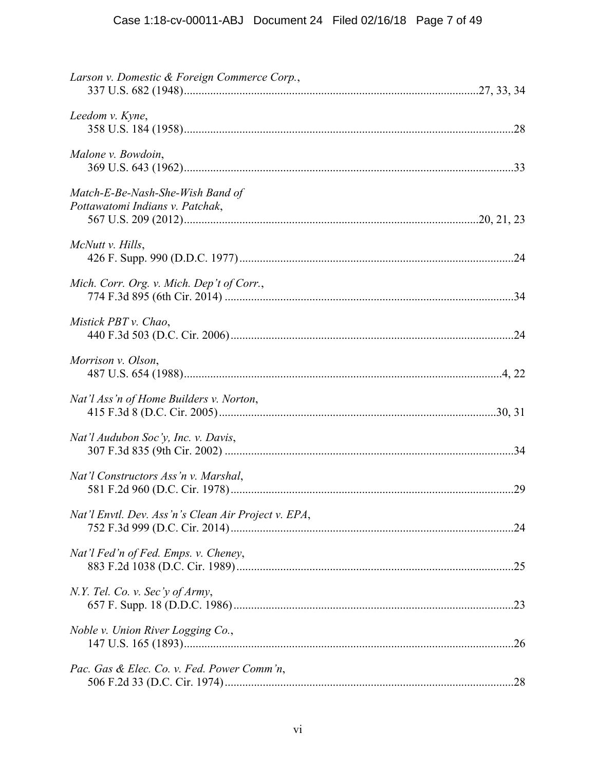| Larson v. Domestic & Foreign Commerce Corp.,                        |  |
|---------------------------------------------------------------------|--|
| Leedom v. Kyne,                                                     |  |
| Malone v. Bowdoin,                                                  |  |
| Match-E-Be-Nash-She-Wish Band of<br>Pottawatomi Indians v. Patchak, |  |
| McNutt v. Hills,                                                    |  |
| Mich. Corr. Org. v. Mich. Dep't of Corr.,                           |  |
| Mistick PBT v. Chao,                                                |  |
| Morrison v. Olson,                                                  |  |
| Nat'l Ass'n of Home Builders v. Norton,                             |  |
| Nat'l Audubon Soc'y, Inc. v. Davis,                                 |  |
| Nat'l Constructors Ass'n v. Marshal,                                |  |
| Nat'l Envtl. Dev. Ass'n's Clean Air Project v. EPA,                 |  |
| Nat'l Fed'n of Fed. Emps. v. Cheney,                                |  |
| N.Y. Tel. Co. v. Sec'y of Army,                                     |  |
| Noble v. Union River Logging Co.,                                   |  |
| Pac. Gas & Elec. Co. v. Fed. Power Comm'n,                          |  |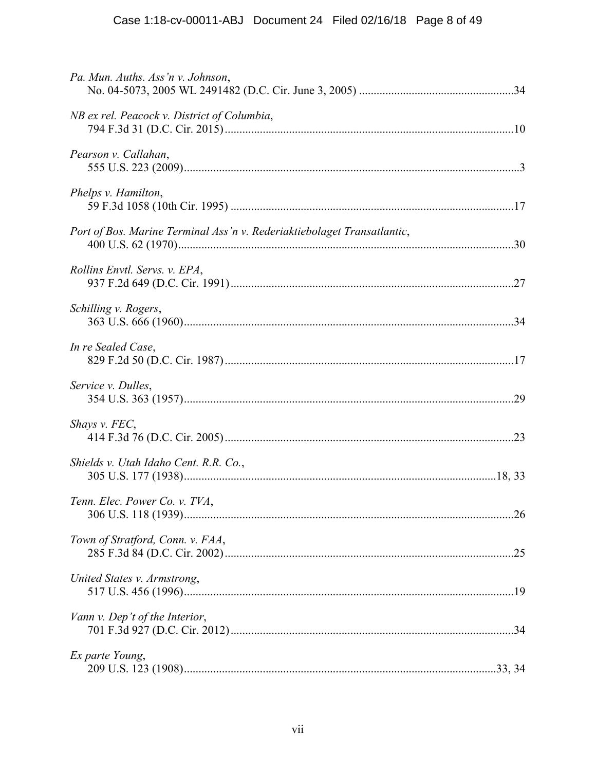| Pa. Mun. Auths. Ass'n v. Johnson,                                       |  |
|-------------------------------------------------------------------------|--|
| NB ex rel. Peacock v. District of Columbia,                             |  |
| Pearson v. Callahan,                                                    |  |
| Phelps v. Hamilton,                                                     |  |
| Port of Bos. Marine Terminal Ass'n v. Rederiaktiebolaget Transatlantic, |  |
| Rollins Envtl. Servs. v. EPA,                                           |  |
| Schilling v. Rogers,                                                    |  |
| In re Sealed Case,                                                      |  |
| Service v. Dulles,                                                      |  |
| Shays v. FEC,                                                           |  |
| Shields v. Utah Idaho Cent. R.R. Co.,                                   |  |
| Tenn. Elec. Power Co. v. TVA,                                           |  |
| Town of Stratford, Conn. v. FAA,                                        |  |
| United States v. Armstrong,                                             |  |
| Vann v. Dep't of the Interior,                                          |  |
| Ex parte Young,                                                         |  |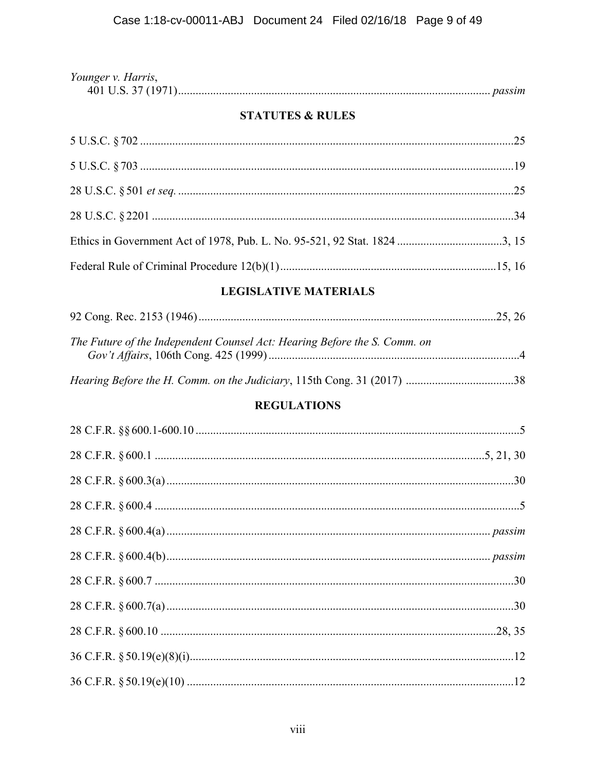| Younger v. Harris, |  |
|--------------------|--|
|                    |  |

## **STATUTES & RULES**

# **LEGISLATIVE MATERIALS**

| The Future of the Independent Counsel Act: Hearing Before the S. Comm. on<br>$C = 1.4C + 10C + 0 = 10F (1000)$ |  |
|----------------------------------------------------------------------------------------------------------------|--|

## **REGULATIONS**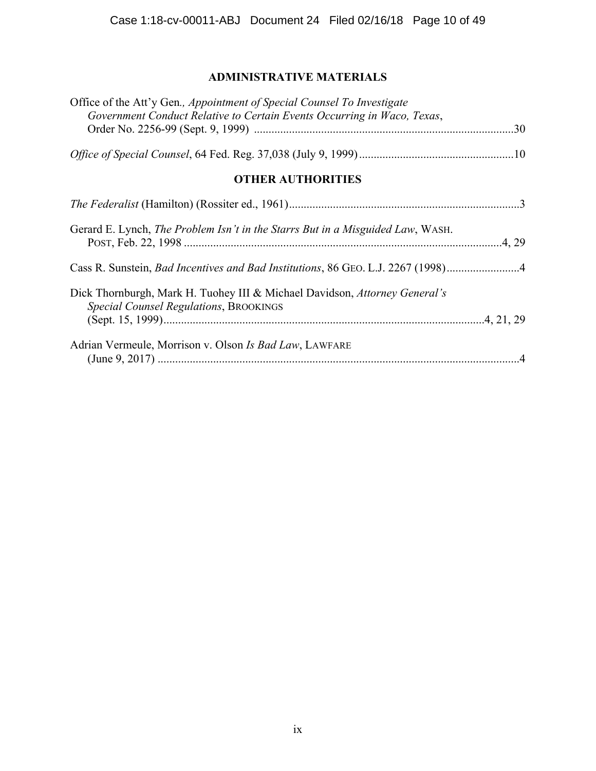# **ADMINISTRATIVE MATERIALS**

| Office of the Att'y Gen., Appointment of Special Counsel To Investigate<br>Government Conduct Relative to Certain Events Occurring in Waco, Texas, |
|----------------------------------------------------------------------------------------------------------------------------------------------------|
|                                                                                                                                                    |
|                                                                                                                                                    |
| <b>OTHER AUTHORITIES</b>                                                                                                                           |
|                                                                                                                                                    |
| Gerard E. Lynch, <i>The Problem Isn't in the Starrs But in a Misguided Law</i> , WASH.                                                             |
| Cass R. Sunstein, Bad Incentives and Bad Institutions, 86 GEO. L.J. 2267 (1998)4                                                                   |
| Dick Thornburgh, Mark H. Tuohey III & Michael Davidson, Attorney General's<br>Special Counsel Regulations, BROOKINGS                               |
| Adrian Vermeule, Morrison v. Olson Is Bad Law, LAWFARE                                                                                             |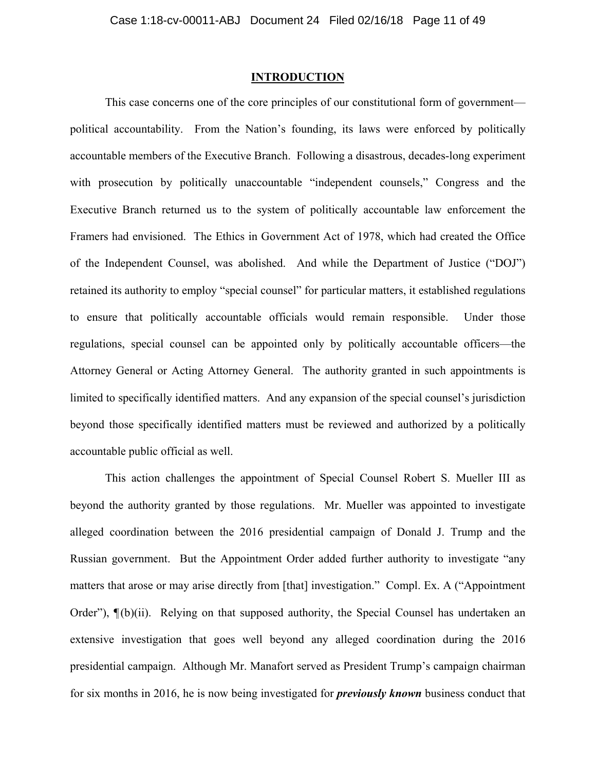#### **INTRODUCTION**

This case concerns one of the core principles of our constitutional form of government political accountability. From the Nation's founding, its laws were enforced by politically accountable members of the Executive Branch. Following a disastrous, decades-long experiment with prosecution by politically unaccountable "independent counsels," Congress and the Executive Branch returned us to the system of politically accountable law enforcement the Framers had envisioned. The Ethics in Government Act of 1978, which had created the Office of the Independent Counsel, was abolished. And while the Department of Justice ("DOJ") retained its authority to employ "special counsel" for particular matters, it established regulations to ensure that politically accountable officials would remain responsible. Under those regulations, special counsel can be appointed only by politically accountable officers—the Attorney General or Acting Attorney General. The authority granted in such appointments is limited to specifically identified matters. And any expansion of the special counsel's jurisdiction beyond those specifically identified matters must be reviewed and authorized by a politically accountable public official as well.

This action challenges the appointment of Special Counsel Robert S. Mueller III as beyond the authority granted by those regulations. Mr. Mueller was appointed to investigate alleged coordination between the 2016 presidential campaign of Donald J. Trump and the Russian government. But the Appointment Order added further authority to investigate "any matters that arose or may arise directly from [that] investigation." Compl. Ex. A ("Appointment Order"),  $\P(b)(ii)$ . Relying on that supposed authority, the Special Counsel has undertaken an extensive investigation that goes well beyond any alleged coordination during the 2016 presidential campaign. Although Mr. Manafort served as President Trump's campaign chairman for six months in 2016, he is now being investigated for *previously known* business conduct that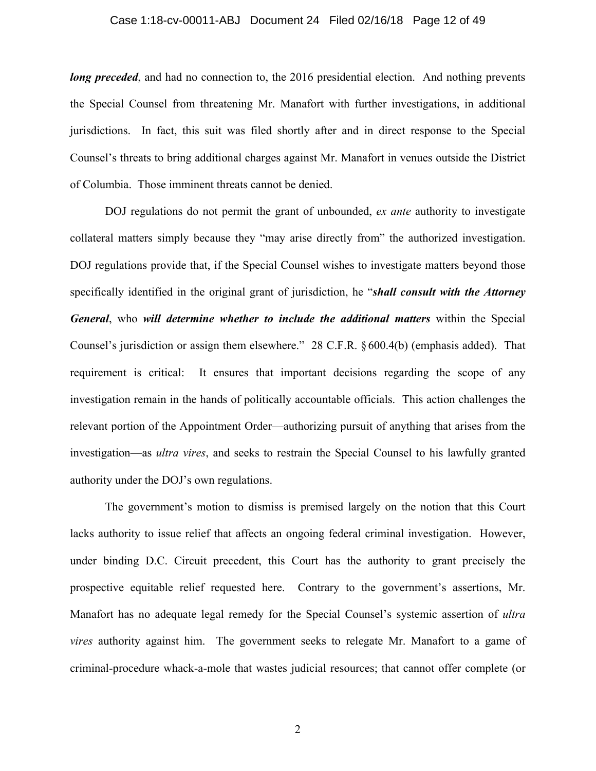## Case 1:18-cv-00011-ABJ Document 24 Filed 02/16/18 Page 12 of 49

*long preceded*, and had no connection to, the 2016 presidential election. And nothing prevents the Special Counsel from threatening Mr. Manafort with further investigations, in additional jurisdictions. In fact, this suit was filed shortly after and in direct response to the Special Counsel's threats to bring additional charges against Mr. Manafort in venues outside the District of Columbia. Those imminent threats cannot be denied.

DOJ regulations do not permit the grant of unbounded, *ex ante* authority to investigate collateral matters simply because they "may arise directly from" the authorized investigation. DOJ regulations provide that, if the Special Counsel wishes to investigate matters beyond those specifically identified in the original grant of jurisdiction, he "*shall consult with the Attorney General*, who *will determine whether to include the additional matters* within the Special Counsel's jurisdiction or assign them elsewhere." 28 C.F.R. § 600.4(b) (emphasis added). That requirement is critical: It ensures that important decisions regarding the scope of any investigation remain in the hands of politically accountable officials. This action challenges the relevant portion of the Appointment Order—authorizing pursuit of anything that arises from the investigation—as *ultra vires*, and seeks to restrain the Special Counsel to his lawfully granted authority under the DOJ's own regulations.

The government's motion to dismiss is premised largely on the notion that this Court lacks authority to issue relief that affects an ongoing federal criminal investigation. However, under binding D.C. Circuit precedent, this Court has the authority to grant precisely the prospective equitable relief requested here. Contrary to the government's assertions, Mr. Manafort has no adequate legal remedy for the Special Counsel's systemic assertion of *ultra vires* authority against him. The government seeks to relegate Mr. Manafort to a game of criminal-procedure whack-a-mole that wastes judicial resources; that cannot offer complete (or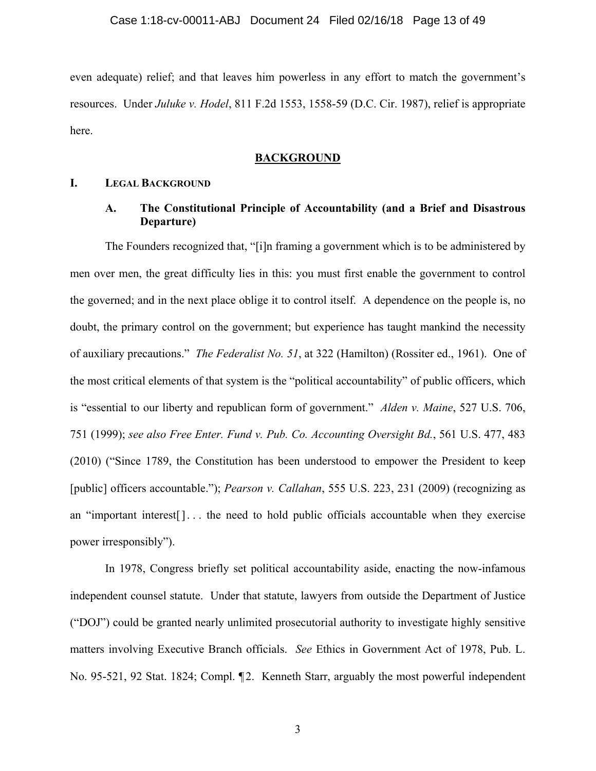even adequate) relief; and that leaves him powerless in any effort to match the government's resources. Under *Juluke v. Hodel*, 811 F.2d 1553, 1558-59 (D.C. Cir. 1987), relief is appropriate here.

### **BACKGROUND**

#### **I. LEGAL BACKGROUND**

### **A. The Constitutional Principle of Accountability (and a Brief and Disastrous Departure)**

The Founders recognized that, "[i]n framing a government which is to be administered by men over men, the great difficulty lies in this: you must first enable the government to control the governed; and in the next place oblige it to control itself. A dependence on the people is, no doubt, the primary control on the government; but experience has taught mankind the necessity of auxiliary precautions." *The Federalist No. 51*, at 322 (Hamilton) (Rossiter ed., 1961). One of the most critical elements of that system is the "political accountability" of public officers, which is "essential to our liberty and republican form of government." *Alden v. Maine*, 527 U.S. 706, 751 (1999); *see also Free Enter. Fund v. Pub. Co. Accounting Oversight Bd.*, 561 U.S. 477, 483 (2010) ("Since 1789, the Constitution has been understood to empower the President to keep [public] officers accountable."); *Pearson v. Callahan*, 555 U.S. 223, 231 (2009) (recognizing as an "important interest<sup>[]</sup>... the need to hold public officials accountable when they exercise power irresponsibly").

In 1978, Congress briefly set political accountability aside, enacting the now-infamous independent counsel statute. Under that statute, lawyers from outside the Department of Justice ("DOJ") could be granted nearly unlimited prosecutorial authority to investigate highly sensitive matters involving Executive Branch officials. *See* Ethics in Government Act of 1978, Pub. L. No. 95-521, 92 Stat. 1824; Compl. ¶2. Kenneth Starr, arguably the most powerful independent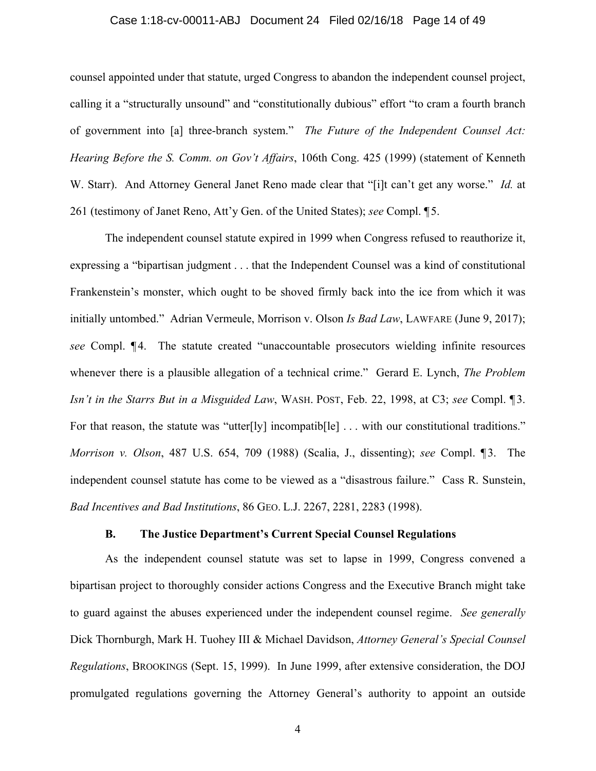## Case 1:18-cv-00011-ABJ Document 24 Filed 02/16/18 Page 14 of 49

counsel appointed under that statute, urged Congress to abandon the independent counsel project, calling it a "structurally unsound" and "constitutionally dubious" effort "to cram a fourth branch of government into [a] three-branch system." *The Future of the Independent Counsel Act: Hearing Before the S. Comm. on Gov't Affairs*, 106th Cong. 425 (1999) (statement of Kenneth W. Starr). And Attorney General Janet Reno made clear that "[i]t can't get any worse." *Id.* at 261 (testimony of Janet Reno, Att'y Gen. of the United States); *see* Compl. ¶ 5.

The independent counsel statute expired in 1999 when Congress refused to reauthorize it, expressing a "bipartisan judgment . . . that the Independent Counsel was a kind of constitutional Frankenstein's monster, which ought to be shoved firmly back into the ice from which it was initially untombed." Adrian Vermeule, Morrison v. Olson *Is Bad Law*, LAWFARE (June 9, 2017); *see* Compl.  $\P$ 4. The statute created "unaccountable prosecutors wielding infinite resources" whenever there is a plausible allegation of a technical crime." Gerard E. Lynch, *The Problem Isn't in the Starrs But in a Misguided Law*, WASH. POST, Feb. 22, 1998, at C3; *see* Compl. ¶ 3. For that reason, the statute was "utter[ly] incompatib[le] ... with our constitutional traditions." *Morrison v. Olson*, 487 U.S. 654, 709 (1988) (Scalia, J., dissenting); *see* Compl. ¶ 3. The independent counsel statute has come to be viewed as a "disastrous failure." Cass R. Sunstein, *Bad Incentives and Bad Institutions*, 86 GEO. L.J. 2267, 2281, 2283 (1998).

#### **B. The Justice Department's Current Special Counsel Regulations**

As the independent counsel statute was set to lapse in 1999, Congress convened a bipartisan project to thoroughly consider actions Congress and the Executive Branch might take to guard against the abuses experienced under the independent counsel regime. *See generally*  Dick Thornburgh, Mark H. Tuohey III & Michael Davidson, *Attorney General's Special Counsel Regulations*, BROOKINGS (Sept. 15, 1999). In June 1999, after extensive consideration, the DOJ promulgated regulations governing the Attorney General's authority to appoint an outside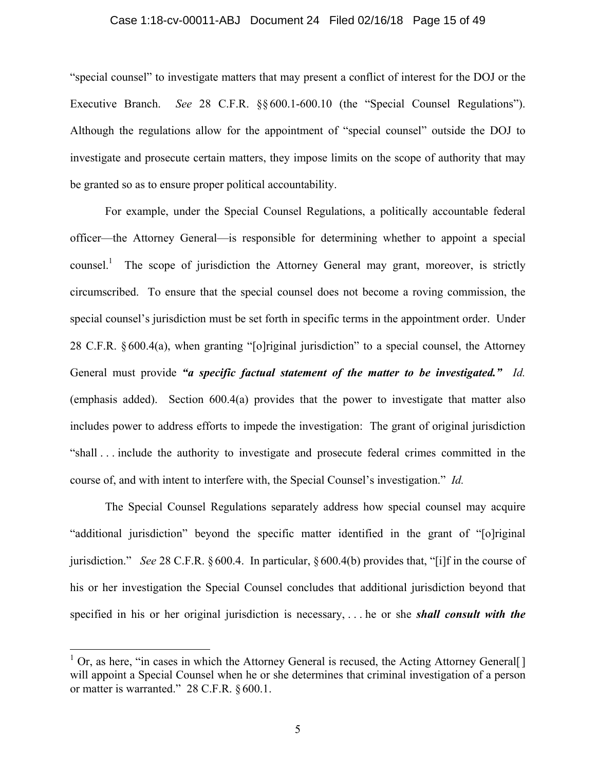#### Case 1:18-cv-00011-ABJ Document 24 Filed 02/16/18 Page 15 of 49

"special counsel" to investigate matters that may present a conflict of interest for the DOJ or the Executive Branch. *See* 28 C.F.R. §§ 600.1-600.10 (the "Special Counsel Regulations"). Although the regulations allow for the appointment of "special counsel" outside the DOJ to investigate and prosecute certain matters, they impose limits on the scope of authority that may be granted so as to ensure proper political accountability.

For example, under the Special Counsel Regulations, a politically accountable federal officer—the Attorney General—is responsible for determining whether to appoint a special counsel.<sup>1</sup> The scope of jurisdiction the Attorney General may grant, moreover, is strictly circumscribed. To ensure that the special counsel does not become a roving commission, the special counsel's jurisdiction must be set forth in specific terms in the appointment order. Under 28 C.F.R. § 600.4(a), when granting "[o]riginal jurisdiction" to a special counsel, the Attorney General must provide *"a specific factual statement of the matter to be investigated." Id.* (emphasis added). Section 600.4(a) provides that the power to investigate that matter also includes power to address efforts to impede the investigation: The grant of original jurisdiction "shall . . . include the authority to investigate and prosecute federal crimes committed in the course of, and with intent to interfere with, the Special Counsel's investigation." *Id.*

The Special Counsel Regulations separately address how special counsel may acquire "additional jurisdiction" beyond the specific matter identified in the grant of "[o]riginal jurisdiction." *See* 28 C.F.R. §600.4. In particular, § 600.4(b) provides that, "[i]f in the course of his or her investigation the Special Counsel concludes that additional jurisdiction beyond that specified in his or her original jurisdiction is necessary, . . . he or she *shall consult with the* 

1

 $1$  Or, as here, "in cases in which the Attorney General is recused, the Acting Attorney General[] will appoint a Special Counsel when he or she determines that criminal investigation of a person or matter is warranted." 28 C.F.R. § 600.1.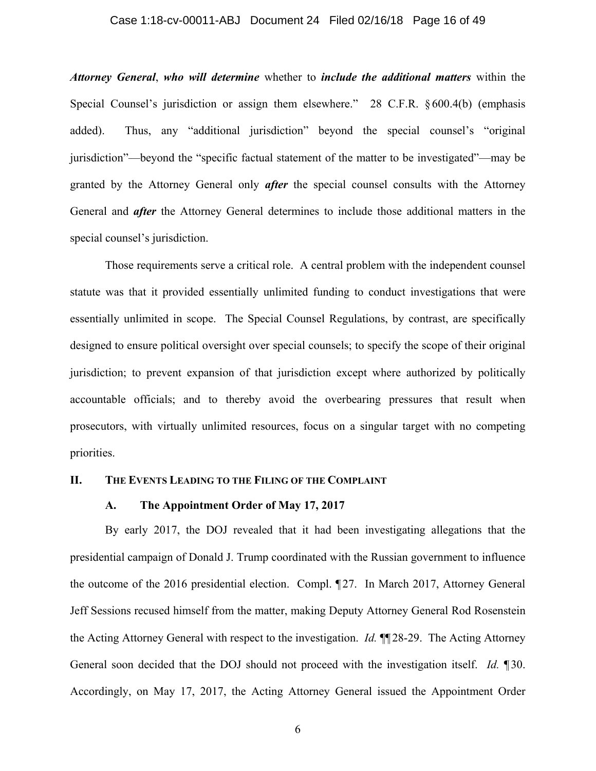#### Case 1:18-cv-00011-ABJ Document 24 Filed 02/16/18 Page 16 of 49

*Attorney General*, *who will determine* whether to *include the additional matters* within the Special Counsel's jurisdiction or assign them elsewhere." 28 C.F.R. §600.4(b) (emphasis added). Thus, any "additional jurisdiction" beyond the special counsel's "original jurisdiction"—beyond the "specific factual statement of the matter to be investigated"—may be granted by the Attorney General only *after* the special counsel consults with the Attorney General and *after* the Attorney General determines to include those additional matters in the special counsel's jurisdiction.

Those requirements serve a critical role. A central problem with the independent counsel statute was that it provided essentially unlimited funding to conduct investigations that were essentially unlimited in scope. The Special Counsel Regulations, by contrast, are specifically designed to ensure political oversight over special counsels; to specify the scope of their original jurisdiction; to prevent expansion of that jurisdiction except where authorized by politically accountable officials; and to thereby avoid the overbearing pressures that result when prosecutors, with virtually unlimited resources, focus on a singular target with no competing priorities.

#### **II. THE EVENTS LEADING TO THE FILING OF THE COMPLAINT**

#### **A. The Appointment Order of May 17, 2017**

By early 2017, the DOJ revealed that it had been investigating allegations that the presidential campaign of Donald J. Trump coordinated with the Russian government to influence the outcome of the 2016 presidential election. Compl. ¶ 27. In March 2017, Attorney General Jeff Sessions recused himself from the matter, making Deputy Attorney General Rod Rosenstein the Acting Attorney General with respect to the investigation. *Id.* ¶¶ 28-29. The Acting Attorney General soon decided that the DOJ should not proceed with the investigation itself. *Id.* ¶ 30. Accordingly, on May 17, 2017, the Acting Attorney General issued the Appointment Order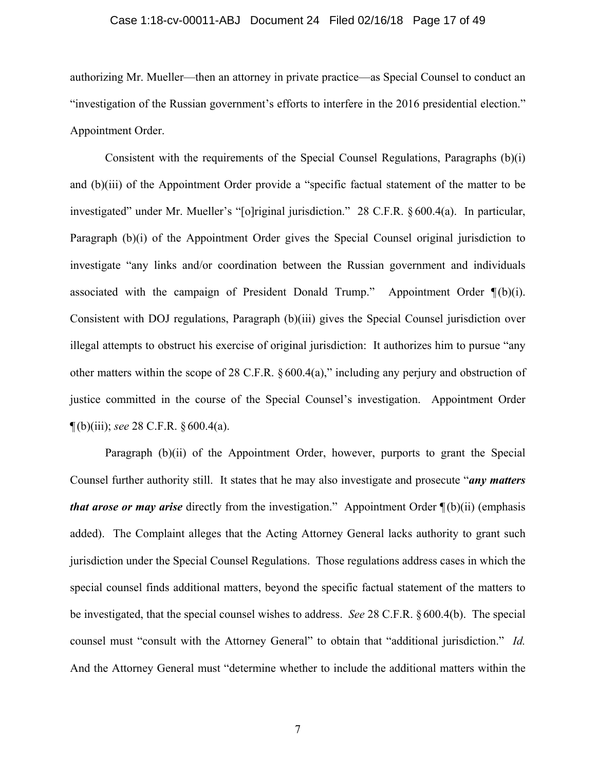#### Case 1:18-cv-00011-ABJ Document 24 Filed 02/16/18 Page 17 of 49

authorizing Mr. Mueller—then an attorney in private practice—as Special Counsel to conduct an "investigation of the Russian government's efforts to interfere in the 2016 presidential election." Appointment Order.

Consistent with the requirements of the Special Counsel Regulations, Paragraphs (b)(i) and (b)(iii) of the Appointment Order provide a "specific factual statement of the matter to be investigated" under Mr. Mueller's "[o]riginal jurisdiction." 28 C.F.R. § 600.4(a). In particular, Paragraph (b)(i) of the Appointment Order gives the Special Counsel original jurisdiction to investigate "any links and/or coordination between the Russian government and individuals associated with the campaign of President Donald Trump." Appointment Order  $\P(b)(i)$ . Consistent with DOJ regulations, Paragraph (b)(iii) gives the Special Counsel jurisdiction over illegal attempts to obstruct his exercise of original jurisdiction: It authorizes him to pursue "any other matters within the scope of 28 C.F.R. § 600.4(a)," including any perjury and obstruction of justice committed in the course of the Special Counsel's investigation. Appointment Order ¶ (b)(iii); *see* 28 C.F.R. § 600.4(a).

Paragraph (b)(ii) of the Appointment Order, however, purports to grant the Special Counsel further authority still. It states that he may also investigate and prosecute "*any matters that arose or may arise* directly from the investigation." Appointment Order  $\P(b)(ii)$  (emphasis added). The Complaint alleges that the Acting Attorney General lacks authority to grant such jurisdiction under the Special Counsel Regulations. Those regulations address cases in which the special counsel finds additional matters, beyond the specific factual statement of the matters to be investigated, that the special counsel wishes to address. *See* 28 C.F.R. §600.4(b). The special counsel must "consult with the Attorney General" to obtain that "additional jurisdiction." *Id.* And the Attorney General must "determine whether to include the additional matters within the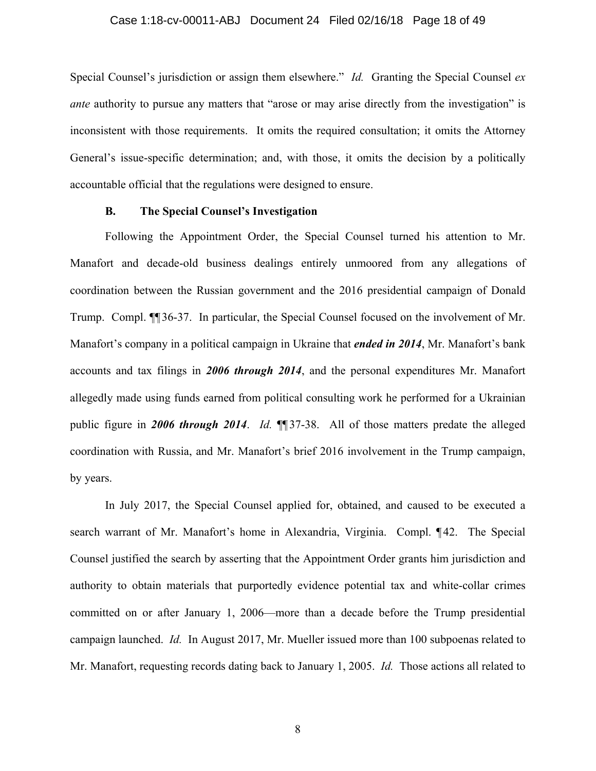#### Case 1:18-cv-00011-ABJ Document 24 Filed 02/16/18 Page 18 of 49

Special Counsel's jurisdiction or assign them elsewhere." *Id.* Granting the Special Counsel *ex ante* authority to pursue any matters that "arose or may arise directly from the investigation" is inconsistent with those requirements. It omits the required consultation; it omits the Attorney General's issue-specific determination; and, with those, it omits the decision by a politically accountable official that the regulations were designed to ensure.

#### **B. The Special Counsel's Investigation**

Following the Appointment Order, the Special Counsel turned his attention to Mr. Manafort and decade-old business dealings entirely unmoored from any allegations of coordination between the Russian government and the 2016 presidential campaign of Donald Trump. Compl. ¶¶ 36-37. In particular, the Special Counsel focused on the involvement of Mr. Manafort's company in a political campaign in Ukraine that *ended in 2014*, Mr. Manafort's bank accounts and tax filings in *2006 through 2014*, and the personal expenditures Mr. Manafort allegedly made using funds earned from political consulting work he performed for a Ukrainian public figure in *2006 through 2014*. *Id.* ¶¶ 37-38. All of those matters predate the alleged coordination with Russia, and Mr. Manafort's brief 2016 involvement in the Trump campaign, by years.

In July 2017, the Special Counsel applied for, obtained, and caused to be executed a search warrant of Mr. Manafort's home in Alexandria, Virginia. Compl. ¶ 42. The Special Counsel justified the search by asserting that the Appointment Order grants him jurisdiction and authority to obtain materials that purportedly evidence potential tax and white-collar crimes committed on or after January 1, 2006—more than a decade before the Trump presidential campaign launched. *Id.* In August 2017, Mr. Mueller issued more than 100 subpoenas related to Mr. Manafort, requesting records dating back to January 1, 2005. *Id.* Those actions all related to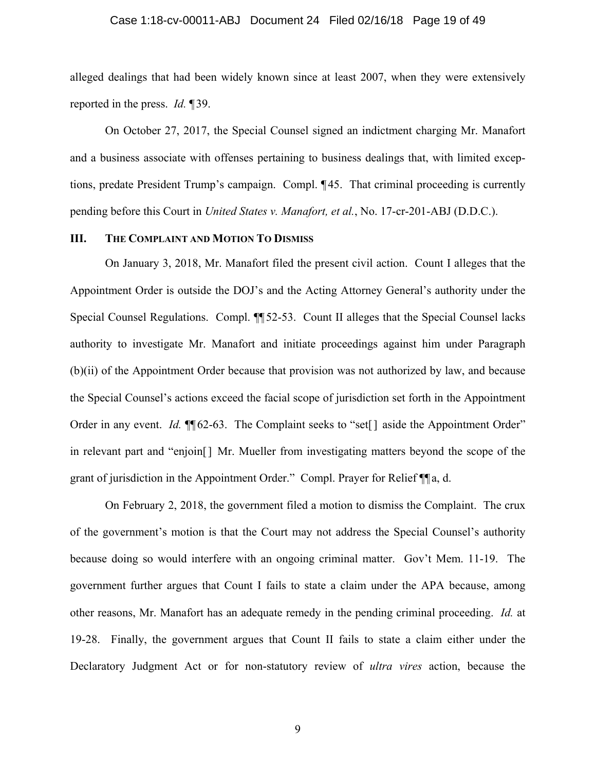#### Case 1:18-cv-00011-ABJ Document 24 Filed 02/16/18 Page 19 of 49

alleged dealings that had been widely known since at least 2007, when they were extensively reported in the press. *Id.* ¶ 39.

On October 27, 2017, the Special Counsel signed an indictment charging Mr. Manafort and a business associate with offenses pertaining to business dealings that, with limited exceptions, predate President Trump's campaign. Compl. ¶ 45. That criminal proceeding is currently pending before this Court in *United States v. Manafort, et al.*, No. 17-cr-201-ABJ (D.D.C.).

### **III. THE COMPLAINT AND MOTION TO DISMISS**

On January 3, 2018, Mr. Manafort filed the present civil action. Count I alleges that the Appointment Order is outside the DOJ's and the Acting Attorney General's authority under the Special Counsel Regulations. Compl. ¶¶ 52-53. Count II alleges that the Special Counsel lacks authority to investigate Mr. Manafort and initiate proceedings against him under Paragraph (b)(ii) of the Appointment Order because that provision was not authorized by law, and because the Special Counsel's actions exceed the facial scope of jurisdiction set forth in the Appointment Order in any event. *Id.*  $\P$  62-63. The Complaint seeks to "set<sup>[]</sup> aside the Appointment Order" in relevant part and "enjoin[] Mr. Mueller from investigating matters beyond the scope of the grant of jurisdiction in the Appointment Order." Compl. Prayer for Relief ¶¶ a, d.

On February 2, 2018, the government filed a motion to dismiss the Complaint. The crux of the government's motion is that the Court may not address the Special Counsel's authority because doing so would interfere with an ongoing criminal matter. Gov't Mem. 11-19. The government further argues that Count I fails to state a claim under the APA because, among other reasons, Mr. Manafort has an adequate remedy in the pending criminal proceeding. *Id.* at 19-28. Finally, the government argues that Count II fails to state a claim either under the Declaratory Judgment Act or for non-statutory review of *ultra vires* action, because the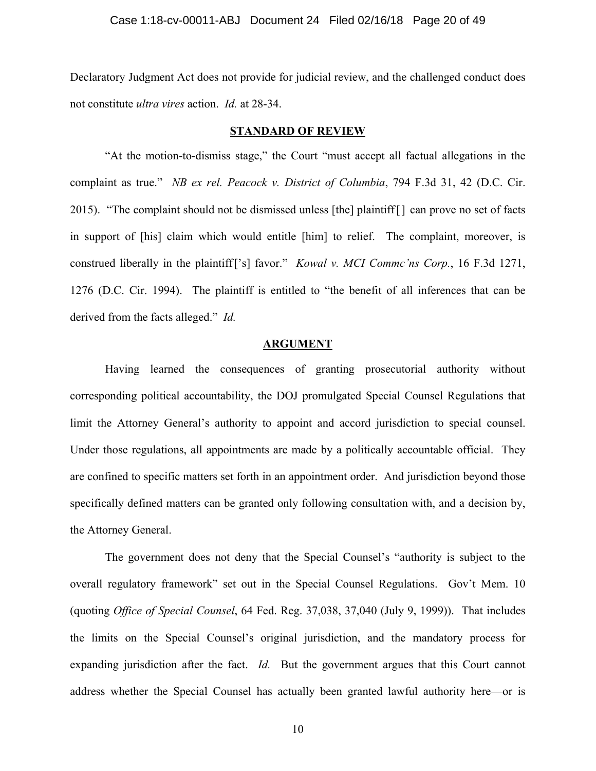Declaratory Judgment Act does not provide for judicial review, and the challenged conduct does not constitute *ultra vires* action. *Id.* at 28-34.

#### **STANDARD OF REVIEW**

"At the motion-to-dismiss stage," the Court "must accept all factual allegations in the complaint as true." *NB ex rel. Peacock v. District of Columbia*, 794 F.3d 31, 42 (D.C. Cir. 2015). "The complaint should not be dismissed unless [the] plaintiff[] can prove no set of facts in support of [his] claim which would entitle [him] to relief. The complaint, moreover, is construed liberally in the plaintiff['s] favor." *Kowal v. MCI Commc'ns Corp.*, 16 F.3d 1271, 1276 (D.C. Cir. 1994). The plaintiff is entitled to "the benefit of all inferences that can be derived from the facts alleged." *Id.*

### **ARGUMENT**

Having learned the consequences of granting prosecutorial authority without corresponding political accountability, the DOJ promulgated Special Counsel Regulations that limit the Attorney General's authority to appoint and accord jurisdiction to special counsel. Under those regulations, all appointments are made by a politically accountable official. They are confined to specific matters set forth in an appointment order. And jurisdiction beyond those specifically defined matters can be granted only following consultation with, and a decision by, the Attorney General.

The government does not deny that the Special Counsel's "authority is subject to the overall regulatory framework" set out in the Special Counsel Regulations. Gov't Mem. 10 (quoting *Office of Special Counsel*, 64 Fed. Reg. 37,038, 37,040 (July 9, 1999)). That includes the limits on the Special Counsel's original jurisdiction, and the mandatory process for expanding jurisdiction after the fact. *Id.* But the government argues that this Court cannot address whether the Special Counsel has actually been granted lawful authority here—or is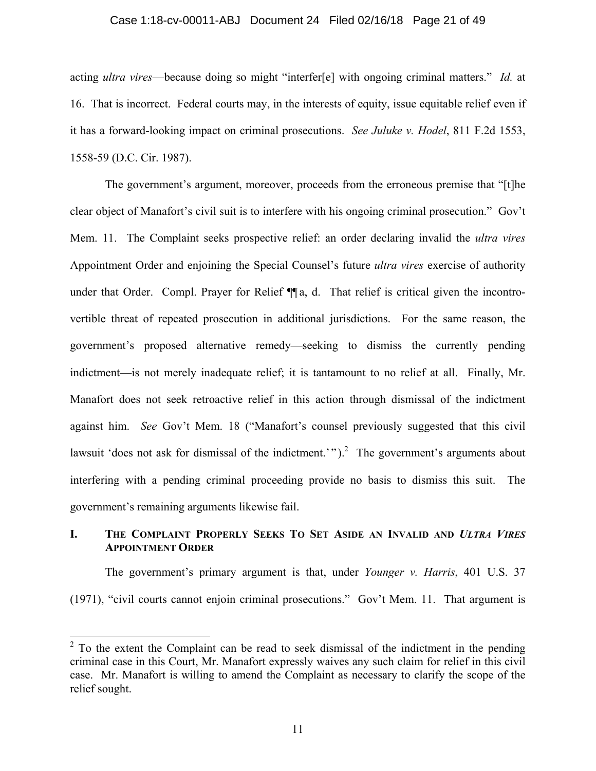#### Case 1:18-cv-00011-ABJ Document 24 Filed 02/16/18 Page 21 of 49

acting *ultra vires*—because doing so might "interfer[e] with ongoing criminal matters." *Id.* at 16. That is incorrect. Federal courts may, in the interests of equity, issue equitable relief even if it has a forward-looking impact on criminal prosecutions. *See Juluke v. Hodel*, 811 F.2d 1553, 1558-59 (D.C. Cir. 1987).

The government's argument, moreover, proceeds from the erroneous premise that "[t]he clear object of Manafort's civil suit is to interfere with his ongoing criminal prosecution." Gov't Mem. 11. The Complaint seeks prospective relief: an order declaring invalid the *ultra vires* Appointment Order and enjoining the Special Counsel's future *ultra vires* exercise of authority under that Order. Compl. Prayer for Relief  $\P$ a, d. That relief is critical given the incontrovertible threat of repeated prosecution in additional jurisdictions. For the same reason, the government's proposed alternative remedy—seeking to dismiss the currently pending indictment—is not merely inadequate relief; it is tantamount to no relief at all. Finally, Mr. Manafort does not seek retroactive relief in this action through dismissal of the indictment against him. *See* Gov't Mem. 18 ("Manafort's counsel previously suggested that this civil lawsuit 'does not ask for dismissal of the indictment.'").<sup>2</sup> The government's arguments about interfering with a pending criminal proceeding provide no basis to dismiss this suit. The government's remaining arguments likewise fail.

## **I. THE COMPLAINT PROPERLY SEEKS TO SET ASIDE AN INVALID AND** *ULTRA VIRES* **APPOINTMENT ORDER**

The government's primary argument is that, under *Younger v. Harris*, 401 U.S. 37 (1971), "civil courts cannot enjoin criminal prosecutions." Gov't Mem. 11. That argument is

<sup>&</sup>lt;sup>2</sup> To the extent the Complaint can be read to seek dismissal of the indictment in the pending criminal case in this Court, Mr. Manafort expressly waives any such claim for relief in this civil case. Mr. Manafort is willing to amend the Complaint as necessary to clarify the scope of the relief sought.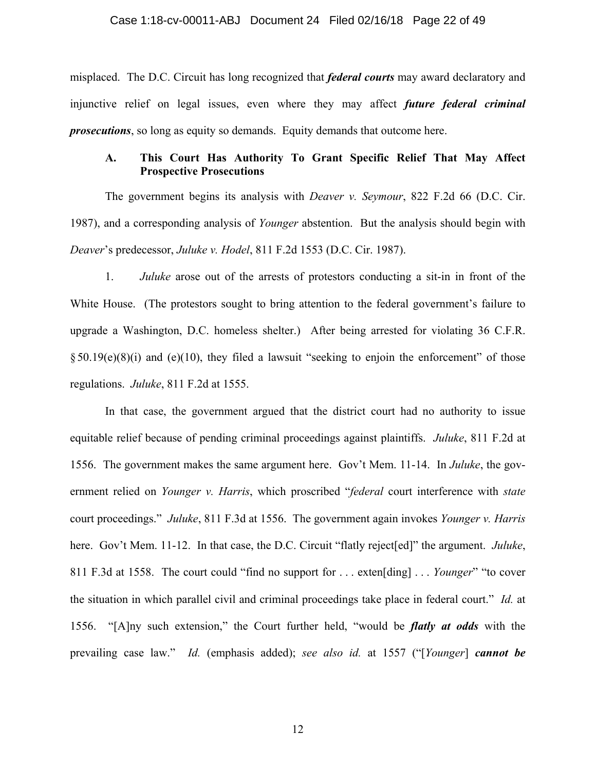#### Case 1:18-cv-00011-ABJ Document 24 Filed 02/16/18 Page 22 of 49

misplaced. The D.C. Circuit has long recognized that *federal courts* may award declaratory and injunctive relief on legal issues, even where they may affect *future federal criminal prosecutions*, so long as equity so demands. Equity demands that outcome here.

## **A. This Court Has Authority To Grant Specific Relief That May Affect Prospective Prosecutions**

The government begins its analysis with *Deaver v. Seymour*, 822 F.2d 66 (D.C. Cir. 1987), and a corresponding analysis of *Younger* abstention. But the analysis should begin with *Deaver*'s predecessor, *Juluke v. Hodel*, 811 F.2d 1553 (D.C. Cir. 1987).

1. *Juluke* arose out of the arrests of protestors conducting a sit-in in front of the White House. (The protestors sought to bring attention to the federal government's failure to upgrade a Washington, D.C. homeless shelter.) After being arrested for violating 36 C.F.R.  $§50.19(e)(8)(i)$  and (e)(10), they filed a lawsuit "seeking to enjoin the enforcement" of those regulations. *Juluke*, 811 F.2d at 1555.

In that case, the government argued that the district court had no authority to issue equitable relief because of pending criminal proceedings against plaintiffs. *Juluke*, 811 F.2d at 1556. The government makes the same argument here. Gov't Mem. 11-14. In *Juluke*, the government relied on *Younger v. Harris*, which proscribed "*federal* court interference with *state*  court proceedings." *Juluke*, 811 F.3d at 1556. The government again invokes *Younger v. Harris* here. Gov't Mem. 11-12. In that case, the D.C. Circuit "flatly reject[ed]" the argument. *Juluke*, 811 F.3d at 1558. The court could "find no support for . . . exten[ding] . . . *Younger*" "to cover the situation in which parallel civil and criminal proceedings take place in federal court." *Id.* at 1556. "[A]ny such extension," the Court further held, "would be *flatly at odds* with the prevailing case law." *Id.* (emphasis added); *see also id.* at 1557 ("[*Younger*] *cannot be*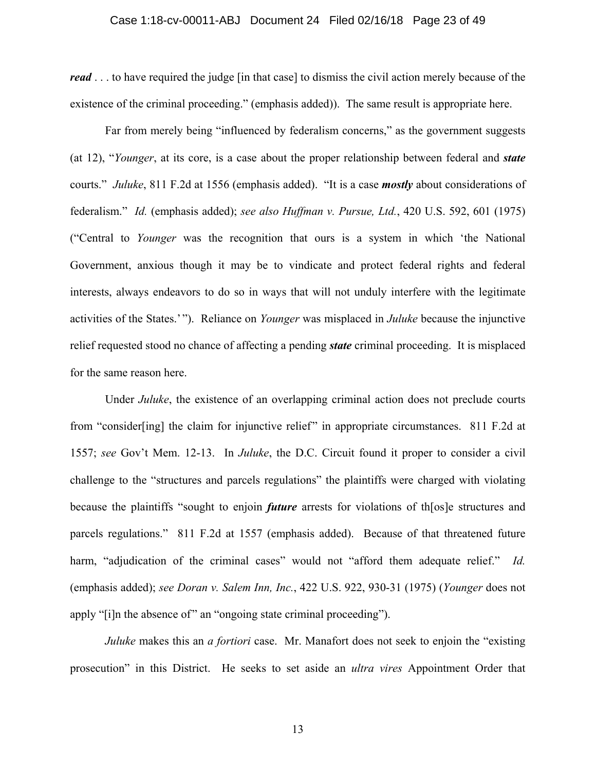#### Case 1:18-cv-00011-ABJ Document 24 Filed 02/16/18 Page 23 of 49

*read* . . . to have required the judge [in that case] to dismiss the civil action merely because of the existence of the criminal proceeding." (emphasis added)). The same result is appropriate here.

Far from merely being "influenced by federalism concerns," as the government suggests (at 12), "*Younger*, at its core, is a case about the proper relationship between federal and *state* courts." *Juluke*, 811 F.2d at 1556 (emphasis added). "It is a case *mostly* about considerations of federalism." *Id.* (emphasis added); *see also Huffman v. Pursue, Ltd.*, 420 U.S. 592, 601 (1975) ("Central to *Younger* was the recognition that ours is a system in which 'the National Government, anxious though it may be to vindicate and protect federal rights and federal interests, always endeavors to do so in ways that will not unduly interfere with the legitimate activities of the States.' "). Reliance on *Younger* was misplaced in *Juluke* because the injunctive relief requested stood no chance of affecting a pending *state* criminal proceeding. It is misplaced for the same reason here.

Under *Juluke*, the existence of an overlapping criminal action does not preclude courts from "consider[ing] the claim for injunctive relief" in appropriate circumstances. 811 F.2d at 1557; *see* Gov't Mem. 12-13. In *Juluke*, the D.C. Circuit found it proper to consider a civil challenge to the "structures and parcels regulations" the plaintiffs were charged with violating because the plaintiffs "sought to enjoin *future* arrests for violations of th[os]e structures and parcels regulations." 811 F.2d at 1557 (emphasis added). Because of that threatened future harm, "adjudication of the criminal cases" would not "afford them adequate relief." *Id.* (emphasis added); *see Doran v. Salem Inn, Inc.*, 422 U.S. 922, 930-31 (1975) (*Younger* does not apply "[i]n the absence of" an "ongoing state criminal proceeding").

*Juluke* makes this an *a fortiori* case. Mr. Manafort does not seek to enjoin the "existing" prosecution" in this District. He seeks to set aside an *ultra vires* Appointment Order that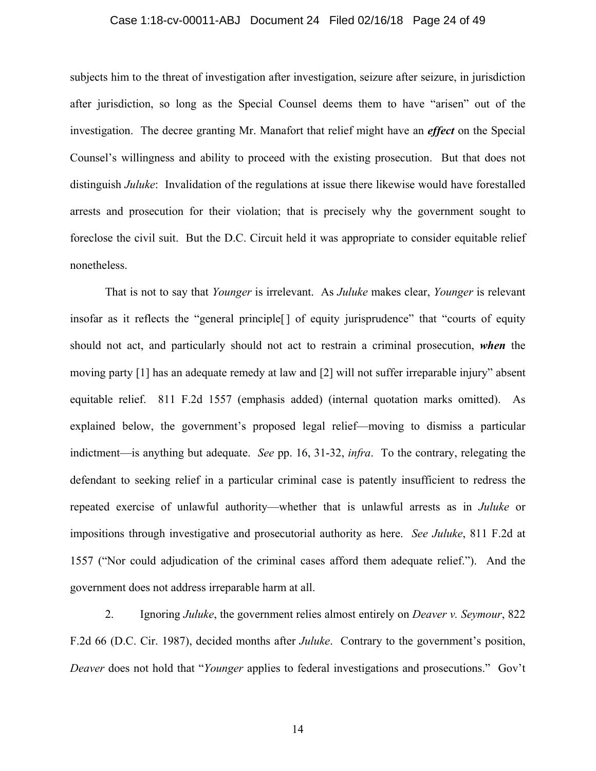#### Case 1:18-cv-00011-ABJ Document 24 Filed 02/16/18 Page 24 of 49

subjects him to the threat of investigation after investigation, seizure after seizure, in jurisdiction after jurisdiction, so long as the Special Counsel deems them to have "arisen" out of the investigation. The decree granting Mr. Manafort that relief might have an *effect* on the Special Counsel's willingness and ability to proceed with the existing prosecution. But that does not distinguish *Juluke*: Invalidation of the regulations at issue there likewise would have forestalled arrests and prosecution for their violation; that is precisely why the government sought to foreclose the civil suit. But the D.C. Circuit held it was appropriate to consider equitable relief nonetheless.

That is not to say that *Younger* is irrelevant. As *Juluke* makes clear, *Younger* is relevant insofar as it reflects the "general principle[] of equity jurisprudence" that "courts of equity should not act, and particularly should not act to restrain a criminal prosecution, *when* the moving party [1] has an adequate remedy at law and [2] will not suffer irreparable injury" absent equitable relief. 811 F.2d 1557 (emphasis added) (internal quotation marks omitted). As explained below, the government's proposed legal relief—moving to dismiss a particular indictment—is anything but adequate. *See* pp. 16, 31-32, *infra*. To the contrary, relegating the defendant to seeking relief in a particular criminal case is patently insufficient to redress the repeated exercise of unlawful authority—whether that is unlawful arrests as in *Juluke* or impositions through investigative and prosecutorial authority as here. *See Juluke*, 811 F.2d at 1557 ("Nor could adjudication of the criminal cases afford them adequate relief."). And the government does not address irreparable harm at all.

2. Ignoring *Juluke*, the government relies almost entirely on *Deaver v. Seymour*, 822 F.2d 66 (D.C. Cir. 1987), decided months after *Juluke*. Contrary to the government's position, *Deaver* does not hold that "*Younger* applies to federal investigations and prosecutions." Gov't

14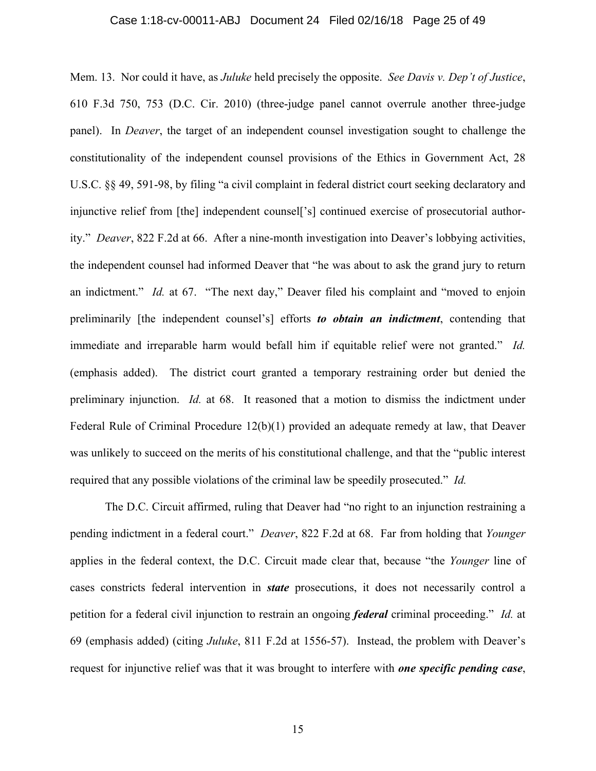#### Case 1:18-cv-00011-ABJ Document 24 Filed 02/16/18 Page 25 of 49

Mem. 13. Nor could it have, as *Juluke* held precisely the opposite. *See Davis v. Dep't of Justice*, 610 F.3d 750, 753 (D.C. Cir. 2010) (three-judge panel cannot overrule another three-judge panel). In *Deaver*, the target of an independent counsel investigation sought to challenge the constitutionality of the independent counsel provisions of the Ethics in Government Act, 28 U.S.C. §§ 49, 591-98, by filing "a civil complaint in federal district court seeking declaratory and injunctive relief from [the] independent counsel['s] continued exercise of prosecutorial authority." *Deaver*, 822 F.2d at 66. After a nine-month investigation into Deaver's lobbying activities, the independent counsel had informed Deaver that "he was about to ask the grand jury to return an indictment." *Id.* at 67."The next day," Deaver filed his complaint and "moved to enjoin preliminarily [the independent counsel's] efforts *to obtain an indictment*, contending that immediate and irreparable harm would befall him if equitable relief were not granted." *Id.*  (emphasis added). The district court granted a temporary restraining order but denied the preliminary injunction. *Id.* at 68. It reasoned that a motion to dismiss the indictment under Federal Rule of Criminal Procedure 12(b)(1) provided an adequate remedy at law, that Deaver was unlikely to succeed on the merits of his constitutional challenge, and that the "public interest required that any possible violations of the criminal law be speedily prosecuted." *Id.* 

The D.C. Circuit affirmed, ruling that Deaver had "no right to an injunction restraining a pending indictment in a federal court." *Deaver*, 822 F.2d at 68. Far from holding that *Younger*  applies in the federal context, the D.C. Circuit made clear that, because "the *Younger* line of cases constricts federal intervention in *state* prosecutions, it does not necessarily control a petition for a federal civil injunction to restrain an ongoing *federal* criminal proceeding." *Id.* at 69 (emphasis added) (citing *Juluke*, 811 F.2d at 1556-57). Instead, the problem with Deaver's request for injunctive relief was that it was brought to interfere with *one specific pending case*,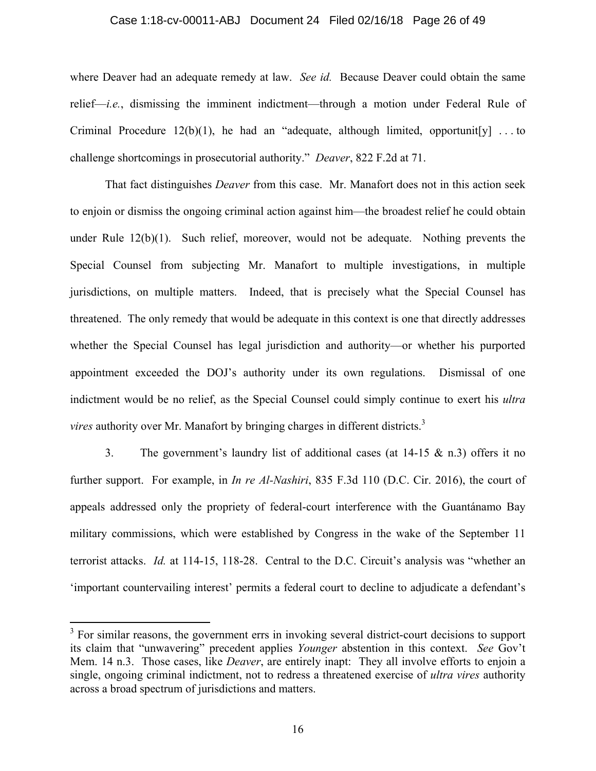#### Case 1:18-cv-00011-ABJ Document 24 Filed 02/16/18 Page 26 of 49

where Deaver had an adequate remedy at law. *See id.* Because Deaver could obtain the same relief—*i.e.*, dismissing the imminent indictment—through a motion under Federal Rule of Criminal Procedure  $12(b)(1)$ , he had an "adequate, although limited, opportunit[y] ... to challenge shortcomings in prosecutorial authority." *Deaver*, 822 F.2d at 71.

That fact distinguishes *Deaver* from this case. Mr. Manafort does not in this action seek to enjoin or dismiss the ongoing criminal action against him—the broadest relief he could obtain under Rule 12(b)(1). Such relief, moreover, would not be adequate. Nothing prevents the Special Counsel from subjecting Mr. Manafort to multiple investigations, in multiple jurisdictions, on multiple matters. Indeed, that is precisely what the Special Counsel has threatened. The only remedy that would be adequate in this context is one that directly addresses whether the Special Counsel has legal jurisdiction and authority—or whether his purported appointment exceeded the DOJ's authority under its own regulations. Dismissal of one indictment would be no relief, as the Special Counsel could simply continue to exert his *ultra vires* authority over Mr. Manafort by bringing charges in different districts.<sup>3</sup>

3. The government's laundry list of additional cases (at 14-15 & n.3) offers it no further support. For example, in *In re Al-Nashiri*, 835 F.3d 110 (D.C. Cir. 2016), the court of appeals addressed only the propriety of federal-court interference with the Guantánamo Bay military commissions, which were established by Congress in the wake of the September 11 terrorist attacks. *Id.* at 114-15, 118-28. Central to the D.C. Circuit's analysis was "whether an 'important countervailing interest' permits a federal court to decline to adjudicate a defendant's

 $\overline{a}$ 

 $3$  For similar reasons, the government errs in invoking several district-court decisions to support its claim that "unwavering" precedent applies *Younger* abstention in this context. *See* Gov't Mem. 14 n.3. Those cases, like *Deaver*, are entirely inapt: They all involve efforts to enjoin a single, ongoing criminal indictment, not to redress a threatened exercise of *ultra vires* authority across a broad spectrum of jurisdictions and matters.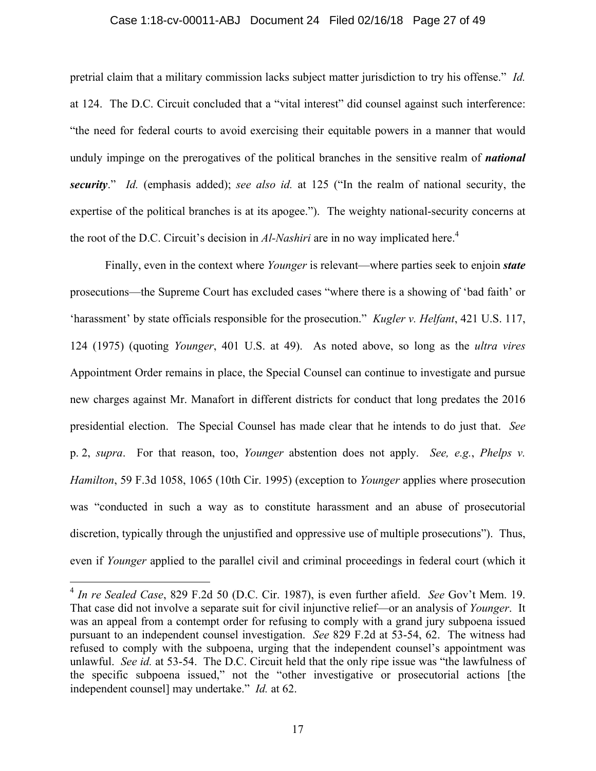#### Case 1:18-cv-00011-ABJ Document 24 Filed 02/16/18 Page 27 of 49

pretrial claim that a military commission lacks subject matter jurisdiction to try his offense." *Id.* at 124. The D.C. Circuit concluded that a "vital interest" did counsel against such interference: "the need for federal courts to avoid exercising their equitable powers in a manner that would unduly impinge on the prerogatives of the political branches in the sensitive realm of *national security*." *Id.* (emphasis added); *see also id.* at 125 ("In the realm of national security, the expertise of the political branches is at its apogee."). The weighty national-security concerns at the root of the D.C. Circuit's decision in *Al-Nashiri* are in no way implicated here.<sup>4</sup>

Finally, even in the context where *Younger* is relevant—where parties seek to enjoin *state* prosecutions—the Supreme Court has excluded cases "where there is a showing of 'bad faith' or 'harassment' by state officials responsible for the prosecution." *Kugler v. Helfant*, 421 U.S. 117, 124 (1975) (quoting *Younger*, 401 U.S. at 49). As noted above, so long as the *ultra vires* Appointment Order remains in place, the Special Counsel can continue to investigate and pursue new charges against Mr. Manafort in different districts for conduct that long predates the 2016 presidential election. The Special Counsel has made clear that he intends to do just that. *See*  p. 2, *supra*. For that reason, too, *Younger* abstention does not apply. *See, e.g.*, *Phelps v. Hamilton*, 59 F.3d 1058, 1065 (10th Cir. 1995) (exception to *Younger* applies where prosecution was "conducted in such a way as to constitute harassment and an abuse of prosecutorial discretion, typically through the unjustified and oppressive use of multiple prosecutions"). Thus, even if *Younger* applied to the parallel civil and criminal proceedings in federal court (which it

 $\overline{a}$ 

<sup>4</sup> *In re Sealed Case*, 829 F.2d 50 (D.C. Cir. 1987), is even further afield. *See* Gov't Mem. 19. That case did not involve a separate suit for civil injunctive relief—or an analysis of *Younger*. It was an appeal from a contempt order for refusing to comply with a grand jury subpoena issued pursuant to an independent counsel investigation. *See* 829 F.2d at 53-54, 62. The witness had refused to comply with the subpoena, urging that the independent counsel's appointment was unlawful. *See id.* at 53-54. The D.C. Circuit held that the only ripe issue was "the lawfulness of the specific subpoena issued," not the "other investigative or prosecutorial actions [the independent counsel] may undertake." *Id.* at 62.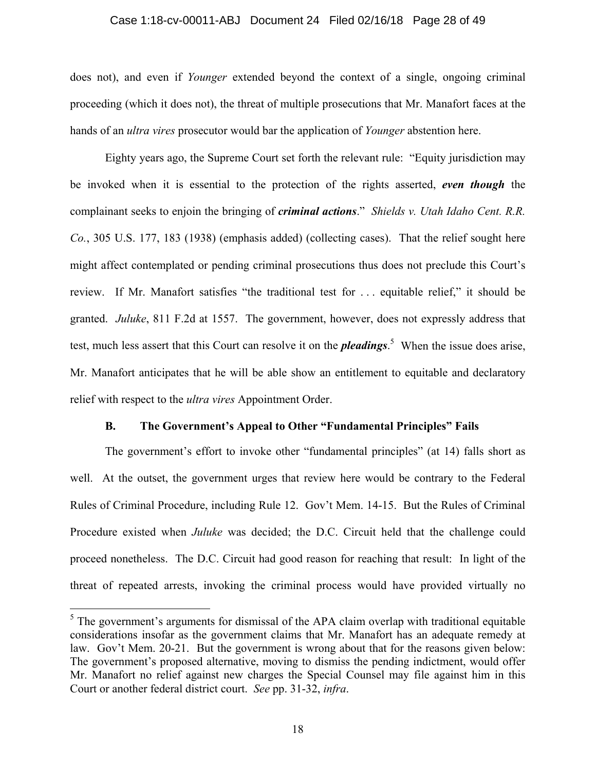#### Case 1:18-cv-00011-ABJ Document 24 Filed 02/16/18 Page 28 of 49

does not), and even if *Younger* extended beyond the context of a single, ongoing criminal proceeding (which it does not), the threat of multiple prosecutions that Mr. Manafort faces at the hands of an *ultra vires* prosecutor would bar the application of *Younger* abstention here.

Eighty years ago, the Supreme Court set forth the relevant rule: "Equity jurisdiction may be invoked when it is essential to the protection of the rights asserted, *even though* the complainant seeks to enjoin the bringing of *criminal actions*." *Shields v. Utah Idaho Cent. R.R. Co.*, 305 U.S. 177, 183 (1938) (emphasis added) (collecting cases). That the relief sought here might affect contemplated or pending criminal prosecutions thus does not preclude this Court's review. If Mr. Manafort satisfies "the traditional test for . . . equitable relief," it should be granted. *Juluke*, 811 F.2d at 1557. The government, however, does not expressly address that test, much less assert that this Court can resolve it on the *pleadings*. 5 When the issue does arise, Mr. Manafort anticipates that he will be able show an entitlement to equitable and declaratory relief with respect to the *ultra vires* Appointment Order.

#### **B. The Government's Appeal to Other "Fundamental Principles" Fails**

The government's effort to invoke other "fundamental principles" (at 14) falls short as well. At the outset, the government urges that review here would be contrary to the Federal Rules of Criminal Procedure, including Rule 12. Gov't Mem. 14-15. But the Rules of Criminal Procedure existed when *Juluke* was decided; the D.C. Circuit held that the challenge could proceed nonetheless. The D.C. Circuit had good reason for reaching that result: In light of the threat of repeated arrests, invoking the criminal process would have provided virtually no

<sup>&</sup>lt;sup>5</sup>The government's arguments for dismissal of the APA claim overlap with traditional equitable considerations insofar as the government claims that Mr. Manafort has an adequate remedy at law. Gov't Mem. 20-21. But the government is wrong about that for the reasons given below: The government's proposed alternative, moving to dismiss the pending indictment, would offer Mr. Manafort no relief against new charges the Special Counsel may file against him in this Court or another federal district court. *See* pp. 31-32, *infra*.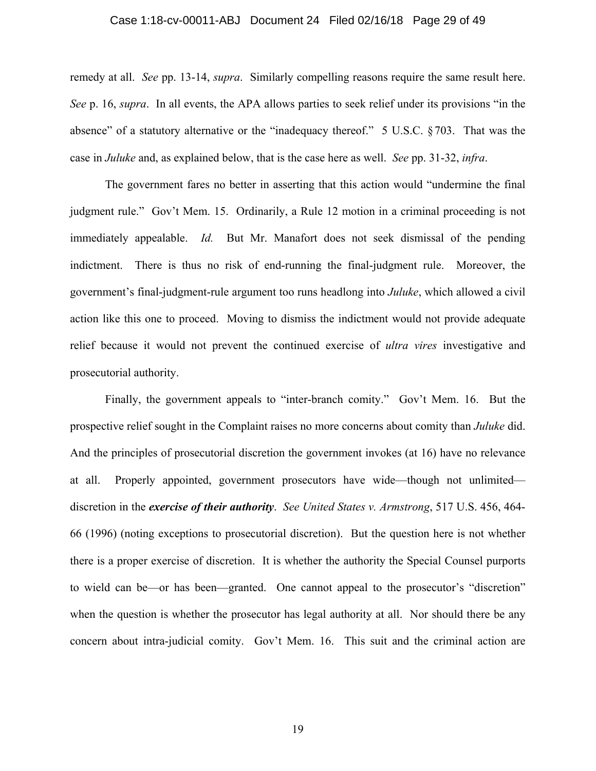## Case 1:18-cv-00011-ABJ Document 24 Filed 02/16/18 Page 29 of 49

remedy at all. *See* pp. 13-14, *supra*. Similarly compelling reasons require the same result here. *See* p. 16, *supra*. In all events, the APA allows parties to seek relief under its provisions "in the absence" of a statutory alternative or the "inadequacy thereof." 5 U.S.C. §703. That was the case in *Juluke* and, as explained below, that is the case here as well. *See* pp. 31-32, *infra*.

The government fares no better in asserting that this action would "undermine the final judgment rule." Gov't Mem. 15. Ordinarily, a Rule 12 motion in a criminal proceeding is not immediately appealable. *Id.* But Mr. Manafort does not seek dismissal of the pending indictment. There is thus no risk of end-running the final-judgment rule. Moreover, the government's final-judgment-rule argument too runs headlong into *Juluke*, which allowed a civil action like this one to proceed. Moving to dismiss the indictment would not provide adequate relief because it would not prevent the continued exercise of *ultra vires* investigative and prosecutorial authority.

Finally, the government appeals to "inter-branch comity." Gov't Mem. 16. But the prospective relief sought in the Complaint raises no more concerns about comity than *Juluke* did. And the principles of prosecutorial discretion the government invokes (at 16) have no relevance at all. Properly appointed, government prosecutors have wide—though not unlimited discretion in the *exercise of their authority*. *See United States v. Armstrong*, 517 U.S. 456, 464- 66 (1996) (noting exceptions to prosecutorial discretion). But the question here is not whether there is a proper exercise of discretion. It is whether the authority the Special Counsel purports to wield can be—or has been—granted. One cannot appeal to the prosecutor's "discretion" when the question is whether the prosecutor has legal authority at all. Nor should there be any concern about intra-judicial comity. Gov't Mem. 16. This suit and the criminal action are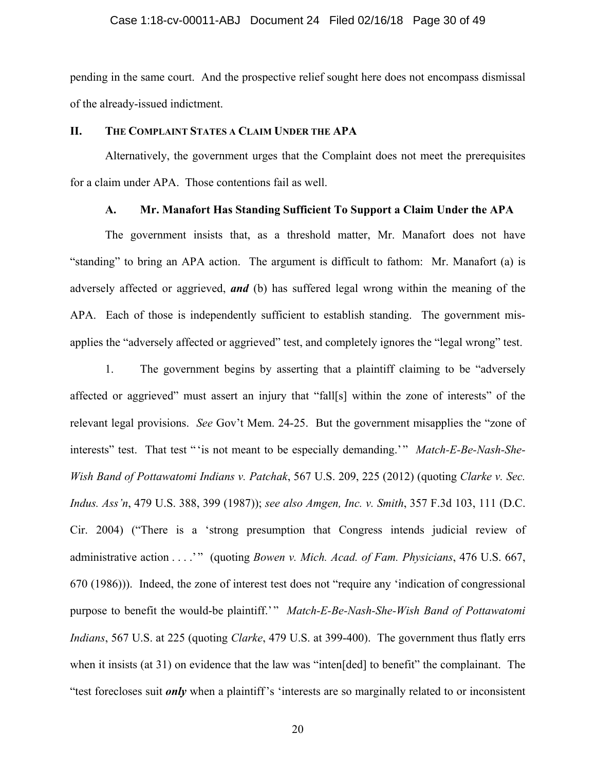#### Case 1:18-cv-00011-ABJ Document 24 Filed 02/16/18 Page 30 of 49

pending in the same court. And the prospective relief sought here does not encompass dismissal of the already-issued indictment.

### **II. THE COMPLAINT STATES A CLAIM UNDER THE APA**

Alternatively, the government urges that the Complaint does not meet the prerequisites for a claim under APA. Those contentions fail as well.

### **A. Mr. Manafort Has Standing Sufficient To Support a Claim Under the APA**

The government insists that, as a threshold matter, Mr. Manafort does not have "standing" to bring an APA action. The argument is difficult to fathom: Mr. Manafort (a) is adversely affected or aggrieved, *and* (b) has suffered legal wrong within the meaning of the APA. Each of those is independently sufficient to establish standing. The government misapplies the "adversely affected or aggrieved" test, and completely ignores the "legal wrong" test.

1. The government begins by asserting that a plaintiff claiming to be "adversely affected or aggrieved" must assert an injury that "fall[s] within the zone of interests" of the relevant legal provisions. *See* Gov't Mem. 24-25. But the government misapplies the "zone of interests" test. That test " 'is not meant to be especially demanding.' " *Match-E-Be-Nash-She-Wish Band of Pottawatomi Indians v. Patchak*, 567 U.S. 209, 225 (2012) (quoting *Clarke v. Sec. Indus. Ass'n*, 479 U.S. 388, 399 (1987)); *see also Amgen, Inc. v. Smith*, 357 F.3d 103, 111 (D.C. Cir. 2004) ("There is a 'strong presumption that Congress intends judicial review of administrative action . . . . " (quoting *Bowen v. Mich. Acad. of Fam. Physicians*, 476 U.S. 667, 670 (1986))). Indeed, the zone of interest test does not "require any 'indication of congressional purpose to benefit the would-be plaintiff.'" *Match-E-Be-Nash-She-Wish Band of Pottawatomi Indians*, 567 U.S. at 225 (quoting *Clarke*, 479 U.S. at 399-400). The government thus flatly errs when it insists (at 31) on evidence that the law was "inten[ded] to benefit" the complainant. The "test forecloses suit *only* when a plaintiff's 'interests are so marginally related to or inconsistent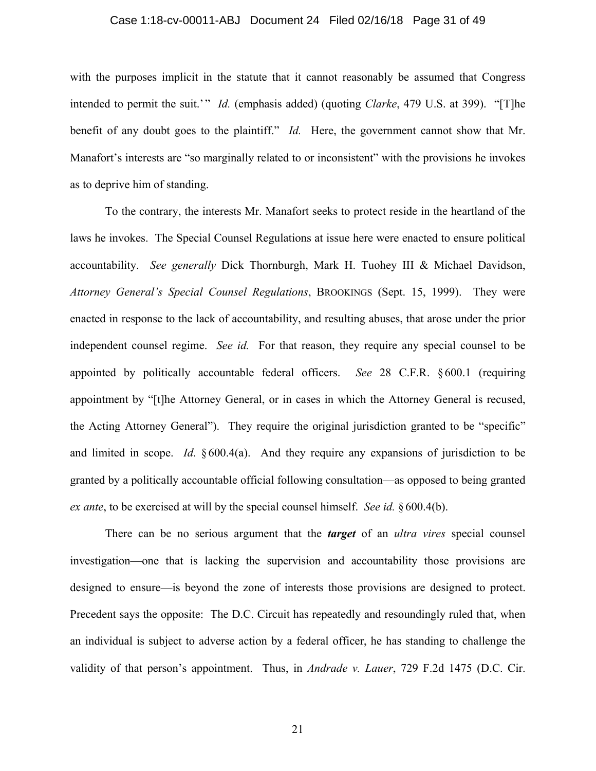#### Case 1:18-cv-00011-ABJ Document 24 Filed 02/16/18 Page 31 of 49

with the purposes implicit in the statute that it cannot reasonably be assumed that Congress intended to permit the suit.'" *Id.* (emphasis added) (quoting *Clarke*, 479 U.S. at 399). "[T]he benefit of any doubt goes to the plaintiff." *Id.* Here, the government cannot show that Mr. Manafort's interests are "so marginally related to or inconsistent" with the provisions he invokes as to deprive him of standing.

To the contrary, the interests Mr. Manafort seeks to protect reside in the heartland of the laws he invokes. The Special Counsel Regulations at issue here were enacted to ensure political accountability. *See generally* Dick Thornburgh, Mark H. Tuohey III & Michael Davidson, *Attorney General's Special Counsel Regulations*, BROOKINGS (Sept. 15, 1999). They were enacted in response to the lack of accountability, and resulting abuses, that arose under the prior independent counsel regime. *See id.* For that reason, they require any special counsel to be appointed by politically accountable federal officers. *See* 28 C.F.R. § 600.1 (requiring appointment by "[t]he Attorney General, or in cases in which the Attorney General is recused, the Acting Attorney General"). They require the original jurisdiction granted to be "specific" and limited in scope. *Id*. § 600.4(a). And they require any expansions of jurisdiction to be granted by a politically accountable official following consultation—as opposed to being granted *ex ante*, to be exercised at will by the special counsel himself. *See id.* § 600.4(b).

There can be no serious argument that the *target* of an *ultra vires* special counsel investigation—one that is lacking the supervision and accountability those provisions are designed to ensure—is beyond the zone of interests those provisions are designed to protect. Precedent says the opposite: The D.C. Circuit has repeatedly and resoundingly ruled that, when an individual is subject to adverse action by a federal officer, he has standing to challenge the validity of that person's appointment. Thus, in *Andrade v. Lauer*, 729 F.2d 1475 (D.C. Cir.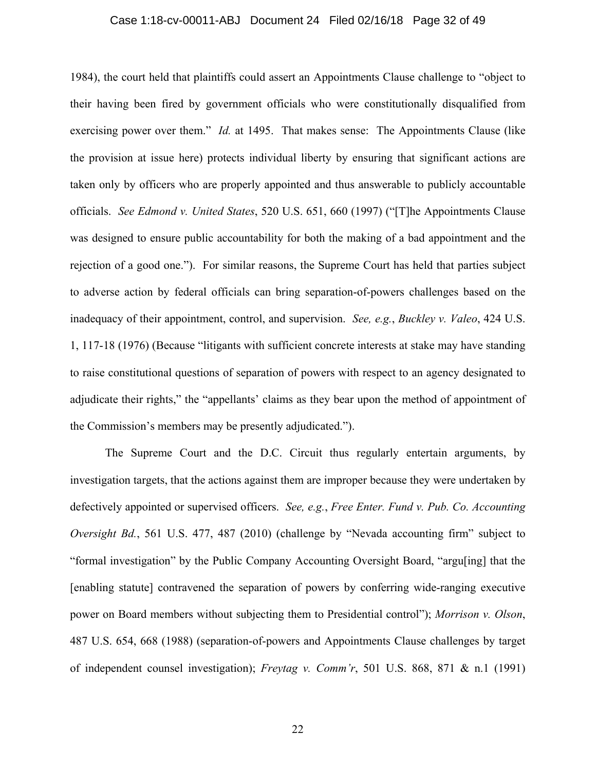#### Case 1:18-cv-00011-ABJ Document 24 Filed 02/16/18 Page 32 of 49

1984), the court held that plaintiffs could assert an Appointments Clause challenge to "object to their having been fired by government officials who were constitutionally disqualified from exercising power over them." *Id.* at 1495. That makes sense: The Appointments Clause (like the provision at issue here) protects individual liberty by ensuring that significant actions are taken only by officers who are properly appointed and thus answerable to publicly accountable officials. *See Edmond v. United States*, 520 U.S. 651, 660 (1997) ("[T]he Appointments Clause was designed to ensure public accountability for both the making of a bad appointment and the rejection of a good one."). For similar reasons, the Supreme Court has held that parties subject to adverse action by federal officials can bring separation-of-powers challenges based on the inadequacy of their appointment, control, and supervision. *See, e.g.*, *Buckley v. Valeo*, 424 U.S. 1, 117-18 (1976) (Because "litigants with sufficient concrete interests at stake may have standing to raise constitutional questions of separation of powers with respect to an agency designated to adjudicate their rights," the "appellants' claims as they bear upon the method of appointment of the Commission's members may be presently adjudicated.").

The Supreme Court and the D.C. Circuit thus regularly entertain arguments, by investigation targets, that the actions against them are improper because they were undertaken by defectively appointed or supervised officers. *See, e.g.*, *Free Enter. Fund v. Pub. Co. Accounting Oversight Bd.*, 561 U.S. 477, 487 (2010) (challenge by "Nevada accounting firm" subject to "formal investigation" by the Public Company Accounting Oversight Board, "argu[ing] that the [enabling statute] contravened the separation of powers by conferring wide-ranging executive power on Board members without subjecting them to Presidential control"); *Morrison v. Olson*, 487 U.S. 654, 668 (1988) (separation-of-powers and Appointments Clause challenges by target of independent counsel investigation); *Freytag v. Comm'r*, 501 U.S. 868, 871 & n.1 (1991)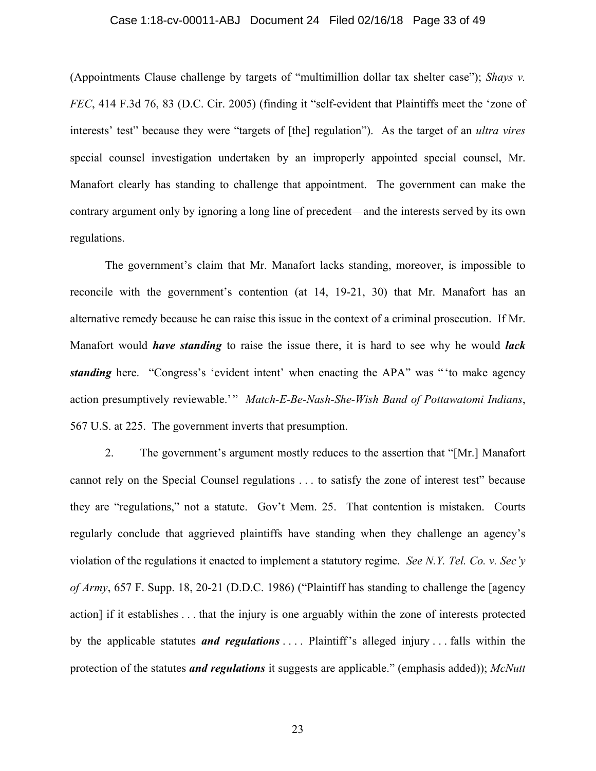## Case 1:18-cv-00011-ABJ Document 24 Filed 02/16/18 Page 33 of 49

(Appointments Clause challenge by targets of "multimillion dollar tax shelter case"); *Shays v. FEC*, 414 F.3d 76, 83 (D.C. Cir. 2005) (finding it "self-evident that Plaintiffs meet the 'zone of interests' test" because they were "targets of [the] regulation"). As the target of an *ultra vires* special counsel investigation undertaken by an improperly appointed special counsel, Mr. Manafort clearly has standing to challenge that appointment. The government can make the contrary argument only by ignoring a long line of precedent—and the interests served by its own regulations.

The government's claim that Mr. Manafort lacks standing, moreover, is impossible to reconcile with the government's contention (at 14, 19-21, 30) that Mr. Manafort has an alternative remedy because he can raise this issue in the context of a criminal prosecution. If Mr. Manafort would *have standing* to raise the issue there, it is hard to see why he would *lack standing* here. "Congress's 'evident intent' when enacting the APA" was " to make agency action presumptively reviewable.'" Match-E-Be-Nash-She-Wish Band of Pottawatomi Indians, 567 U.S. at 225. The government inverts that presumption.

2. The government's argument mostly reduces to the assertion that "[Mr.] Manafort cannot rely on the Special Counsel regulations . . . to satisfy the zone of interest test" because they are "regulations," not a statute. Gov't Mem. 25. That contention is mistaken. Courts regularly conclude that aggrieved plaintiffs have standing when they challenge an agency's violation of the regulations it enacted to implement a statutory regime. *See N.Y. Tel. Co. v. Sec'y of Army*, 657 F. Supp. 18, 20-21 (D.D.C. 1986) ("Plaintiff has standing to challenge the [agency action] if it establishes . . . that the injury is one arguably within the zone of interests protected by the applicable statutes *and regulations* . . . . Plaintiff's alleged injury . . . falls within the protection of the statutes *and regulations* it suggests are applicable." (emphasis added)); *McNutt*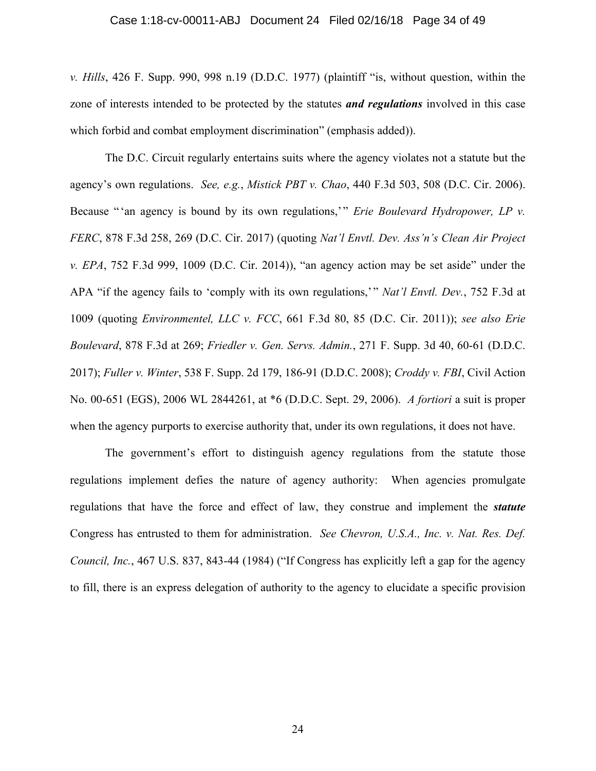#### Case 1:18-cv-00011-ABJ Document 24 Filed 02/16/18 Page 34 of 49

*v. Hills*, 426 F. Supp. 990, 998 n.19 (D.D.C. 1977) (plaintiff "is, without question, within the zone of interests intended to be protected by the statutes *and regulations* involved in this case which forbid and combat employment discrimination" (emphasis added)).

The D.C. Circuit regularly entertains suits where the agency violates not a statute but the agency's own regulations. *See, e.g.*, *Mistick PBT v. Chao*, 440 F.3d 503, 508 (D.C. Cir. 2006). Because "'an agency is bound by its own regulations,'" *Erie Boulevard Hydropower*, *LP v. FERC*, 878 F.3d 258, 269 (D.C. Cir. 2017) (quoting *Nat'l Envtl. Dev. Ass'n's Clean Air Project v. EPA*, 752 F.3d 999, 1009 (D.C. Cir. 2014)), "an agency action may be set aside" under the APA "if the agency fails to 'comply with its own regulations,'" *Nat'l Envtl. Dev.*, 752 F.3d at 1009 (quoting *Environmentel, LLC v. FCC*, 661 F.3d 80, 85 (D.C. Cir. 2011)); *see also Erie Boulevard*, 878 F.3d at 269; *Friedler v. Gen. Servs. Admin.*, 271 F. Supp. 3d 40, 60-61 (D.D.C. 2017); *Fuller v. Winter*, 538 F. Supp. 2d 179, 186-91 (D.D.C. 2008); *Croddy v. FBI*, Civil Action No. 00-651 (EGS), 2006 WL 2844261, at \*6 (D.D.C. Sept. 29, 2006). *A fortiori* a suit is proper when the agency purports to exercise authority that, under its own regulations, it does not have.

The government's effort to distinguish agency regulations from the statute those regulations implement defies the nature of agency authority: When agencies promulgate regulations that have the force and effect of law, they construe and implement the *statute* Congress has entrusted to them for administration. *See Chevron, U.S.A., Inc. v. Nat. Res. Def. Council, Inc.*, 467 U.S. 837, 843-44 (1984) ("If Congress has explicitly left a gap for the agency to fill, there is an express delegation of authority to the agency to elucidate a specific provision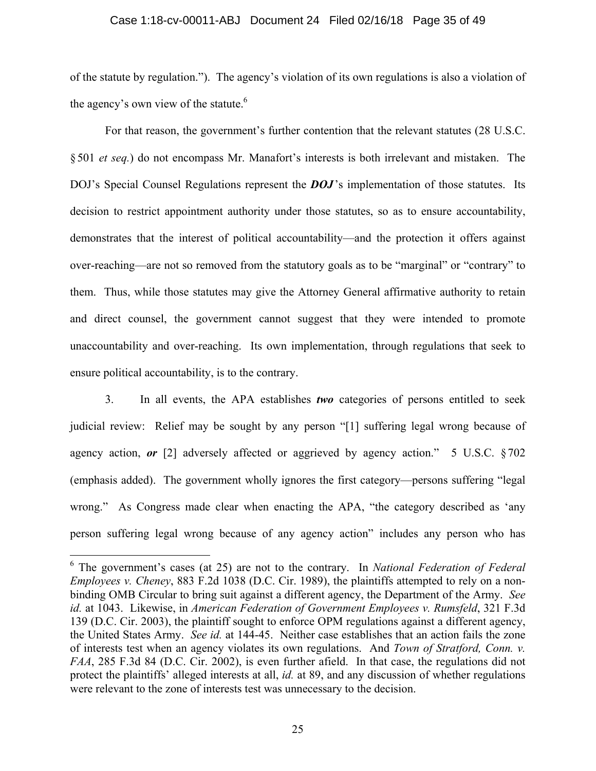#### Case 1:18-cv-00011-ABJ Document 24 Filed 02/16/18 Page 35 of 49

of the statute by regulation."). The agency's violation of its own regulations is also a violation of the agency's own view of the statute.<sup>6</sup>

For that reason, the government's further contention that the relevant statutes (28 U.S.C. § 501 *et seq.*) do not encompass Mr. Manafort's interests is both irrelevant and mistaken. The DOJ's Special Counsel Regulations represent the **DOJ**'s implementation of those statutes. Its decision to restrict appointment authority under those statutes, so as to ensure accountability, demonstrates that the interest of political accountability—and the protection it offers against over-reaching—are not so removed from the statutory goals as to be "marginal" or "contrary" to them. Thus, while those statutes may give the Attorney General affirmative authority to retain and direct counsel, the government cannot suggest that they were intended to promote unaccountability and over-reaching. Its own implementation, through regulations that seek to ensure political accountability, is to the contrary.

3. In all events, the APA establishes *two* categories of persons entitled to seek judicial review: Relief may be sought by any person "[1] suffering legal wrong because of agency action, *or* [2] adversely affected or aggrieved by agency action." 5 U.S.C. § 702 (emphasis added). The government wholly ignores the first category—persons suffering "legal wrong." As Congress made clear when enacting the APA, "the category described as 'any person suffering legal wrong because of any agency action" includes any person who has

1

<sup>6</sup> The government's cases (at 25) are not to the contrary. In *National Federation of Federal Employees v. Cheney*, 883 F.2d 1038 (D.C. Cir. 1989), the plaintiffs attempted to rely on a nonbinding OMB Circular to bring suit against a different agency, the Department of the Army. *See id.* at 1043. Likewise, in *American Federation of Government Employees v. Rumsfeld*, 321 F.3d 139 (D.C. Cir. 2003), the plaintiff sought to enforce OPM regulations against a different agency, the United States Army. *See id.* at 144-45. Neither case establishes that an action fails the zone of interests test when an agency violates its own regulations. And *Town of Stratford, Conn. v. FAA*, 285 F.3d 84 (D.C. Cir. 2002), is even further afield. In that case, the regulations did not protect the plaintiffs' alleged interests at all, *id.* at 89, and any discussion of whether regulations were relevant to the zone of interests test was unnecessary to the decision.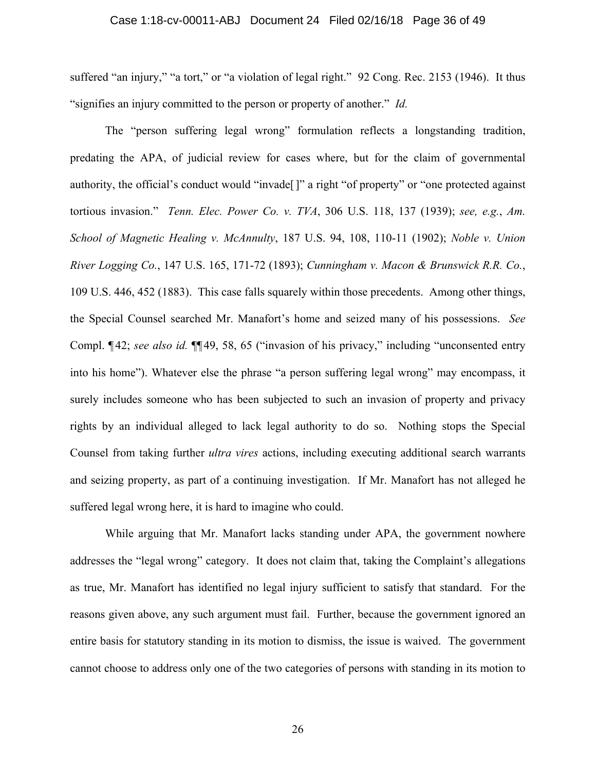#### Case 1:18-cv-00011-ABJ Document 24 Filed 02/16/18 Page 36 of 49

suffered "an injury," "a tort," or "a violation of legal right." 92 Cong. Rec. 2153 (1946). It thus "signifies an injury committed to the person or property of another." *Id.*

The "person suffering legal wrong" formulation reflects a longstanding tradition, predating the APA, of judicial review for cases where, but for the claim of governmental authority, the official's conduct would "invade[]" a right "of property" or "one protected against tortious invasion." *Tenn. Elec. Power Co. v. TVA*, 306 U.S. 118, 137 (1939); *see, e.g.*, *Am. School of Magnetic Healing v. McAnnulty*, 187 U.S. 94, 108, 110-11 (1902); *Noble v. Union River Logging Co.*, 147 U.S. 165, 171-72 (1893); *Cunningham v. Macon & Brunswick R.R. Co.*, 109 U.S. 446, 452 (1883). This case falls squarely within those precedents. Among other things, the Special Counsel searched Mr. Manafort's home and seized many of his possessions. *See* Compl. ¶ 42; *see also id.* ¶¶ 49, 58, 65 ("invasion of his privacy," including "unconsented entry into his home"). Whatever else the phrase "a person suffering legal wrong" may encompass, it surely includes someone who has been subjected to such an invasion of property and privacy rights by an individual alleged to lack legal authority to do so. Nothing stops the Special Counsel from taking further *ultra vires* actions, including executing additional search warrants and seizing property, as part of a continuing investigation. If Mr. Manafort has not alleged he suffered legal wrong here, it is hard to imagine who could.

While arguing that Mr. Manafort lacks standing under APA, the government nowhere addresses the "legal wrong" category. It does not claim that, taking the Complaint's allegations as true, Mr. Manafort has identified no legal injury sufficient to satisfy that standard. For the reasons given above, any such argument must fail. Further, because the government ignored an entire basis for statutory standing in its motion to dismiss, the issue is waived. The government cannot choose to address only one of the two categories of persons with standing in its motion to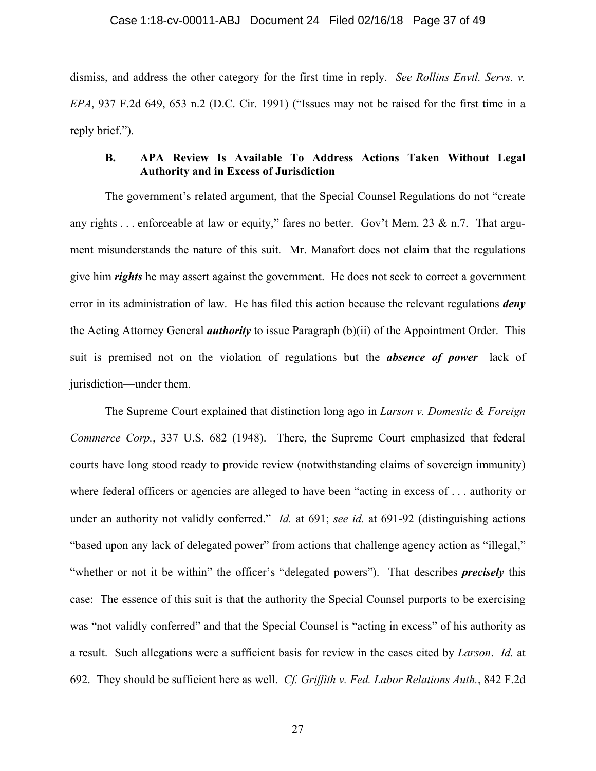dismiss, and address the other category for the first time in reply. *See Rollins Envtl. Servs. v. EPA*, 937 F.2d 649, 653 n.2 (D.C. Cir. 1991) ("Issues may not be raised for the first time in a reply brief.").

### **B. APA Review Is Available To Address Actions Taken Without Legal Authority and in Excess of Jurisdiction**

The government's related argument, that the Special Counsel Regulations do not "create any rights . . . enforceable at law or equity," fares no better. Gov't Mem. 23 & n.7. That argument misunderstands the nature of this suit. Mr. Manafort does not claim that the regulations give him *rights* he may assert against the government. He does not seek to correct a government error in its administration of law. He has filed this action because the relevant regulations *deny* the Acting Attorney General *authority* to issue Paragraph (b)(ii) of the Appointment Order. This suit is premised not on the violation of regulations but the *absence of power*—lack of jurisdiction—under them.

The Supreme Court explained that distinction long ago in *Larson v. Domestic & Foreign Commerce Corp.*, 337 U.S. 682 (1948). There, the Supreme Court emphasized that federal courts have long stood ready to provide review (notwithstanding claims of sovereign immunity) where federal officers or agencies are alleged to have been "acting in excess of . . . authority or under an authority not validly conferred." *Id.* at 691; *see id.* at 691-92 (distinguishing actions "based upon any lack of delegated power" from actions that challenge agency action as "illegal," "whether or not it be within" the officer's "delegated powers"). That describes *precisely* this case: The essence of this suit is that the authority the Special Counsel purports to be exercising was "not validly conferred" and that the Special Counsel is "acting in excess" of his authority as a result. Such allegations were a sufficient basis for review in the cases cited by *Larson*. *Id.* at 692. They should be sufficient here as well. *Cf. Griffith v. Fed. Labor Relations Auth.*, 842 F.2d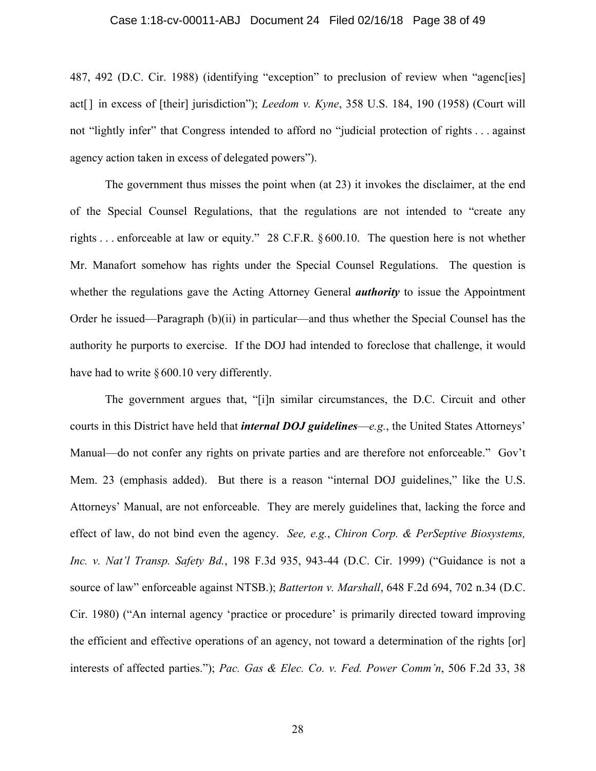#### Case 1:18-cv-00011-ABJ Document 24 Filed 02/16/18 Page 38 of 49

487, 492 (D.C. Cir. 1988) (identifying "exception" to preclusion of review when "agenc[ies] act[] in excess of [their] jurisdiction"); *Leedom v. Kyne*, 358 U.S. 184, 190 (1958) (Court will not "lightly infer" that Congress intended to afford no "judicial protection of rights . . . against agency action taken in excess of delegated powers").

The government thus misses the point when (at 23) it invokes the disclaimer, at the end of the Special Counsel Regulations, that the regulations are not intended to "create any rights . . . enforceable at law or equity." 28 C.F.R. § 600.10. The question here is not whether Mr. Manafort somehow has rights under the Special Counsel Regulations. The question is whether the regulations gave the Acting Attorney General *authority* to issue the Appointment Order he issued—Paragraph (b)(ii) in particular—and thus whether the Special Counsel has the authority he purports to exercise. If the DOJ had intended to foreclose that challenge, it would have had to write § 600.10 very differently.

The government argues that, "[i]n similar circumstances, the D.C. Circuit and other courts in this District have held that *internal DOJ guidelines*—*e.g.*, the United States Attorneys' Manual—do not confer any rights on private parties and are therefore not enforceable." Gov't Mem. 23 (emphasis added). But there is a reason "internal DOJ guidelines," like the U.S. Attorneys' Manual, are not enforceable. They are merely guidelines that, lacking the force and effect of law, do not bind even the agency. *See, e.g.*, *Chiron Corp. & PerSeptive Biosystems, Inc. v. Nat'l Transp. Safety Bd.*, 198 F.3d 935, 943-44 (D.C. Cir. 1999) ("Guidance is not a source of law" enforceable against NTSB.); *Batterton v. Marshall*, 648 F.2d 694, 702 n.34 (D.C. Cir. 1980) ("An internal agency 'practice or procedure' is primarily directed toward improving the efficient and effective operations of an agency, not toward a determination of the rights [or] interests of affected parties."); *Pac. Gas & Elec. Co. v. Fed. Power Comm'n*, 506 F.2d 33, 38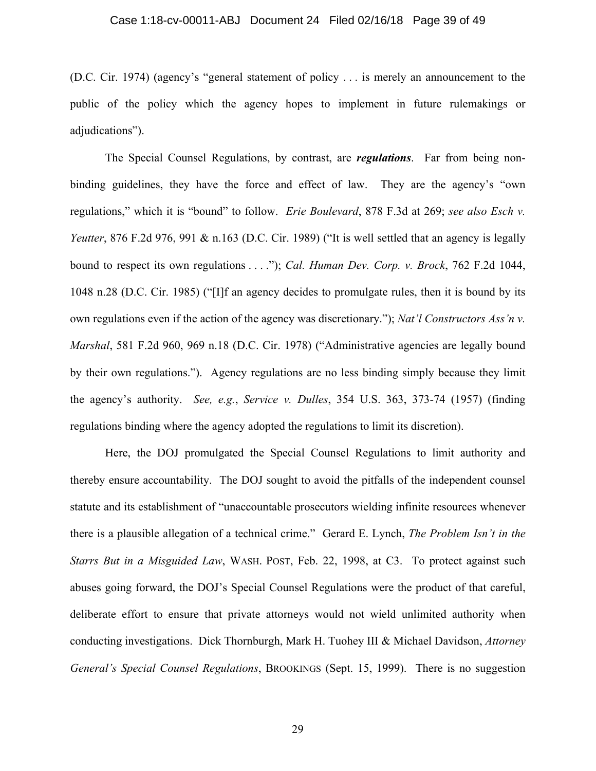#### Case 1:18-cv-00011-ABJ Document 24 Filed 02/16/18 Page 39 of 49

(D.C. Cir. 1974) (agency's "general statement of policy . . . is merely an announcement to the public of the policy which the agency hopes to implement in future rulemakings or adjudications").

The Special Counsel Regulations, by contrast, are *regulations*. Far from being nonbinding guidelines, they have the force and effect of law. They are the agency's "own regulations," which it is "bound" to follow. *Erie Boulevard*, 878 F.3d at 269; *see also Esch v. Yeutter*, 876 F.2d 976, 991 & n.163 (D.C. Cir. 1989) ("It is well settled that an agency is legally bound to respect its own regulations . . . ."); *Cal. Human Dev. Corp. v. Brock*, 762 F.2d 1044, 1048 n.28 (D.C. Cir. 1985) ("[I]f an agency decides to promulgate rules, then it is bound by its own regulations even if the action of the agency was discretionary."); *Nat'l Constructors Ass'n v. Marshal*, 581 F.2d 960, 969 n.18 (D.C. Cir. 1978) ("Administrative agencies are legally bound by their own regulations."). Agency regulations are no less binding simply because they limit the agency's authority. *See, e.g.*, *Service v. Dulles*, 354 U.S. 363, 373-74 (1957) (finding regulations binding where the agency adopted the regulations to limit its discretion).

Here, the DOJ promulgated the Special Counsel Regulations to limit authority and thereby ensure accountability. The DOJ sought to avoid the pitfalls of the independent counsel statute and its establishment of "unaccountable prosecutors wielding infinite resources whenever there is a plausible allegation of a technical crime." Gerard E. Lynch, *The Problem Isn't in the Starrs But in a Misguided Law*, WASH. POST, Feb. 22, 1998, at C3. To protect against such abuses going forward, the DOJ's Special Counsel Regulations were the product of that careful, deliberate effort to ensure that private attorneys would not wield unlimited authority when conducting investigations. Dick Thornburgh, Mark H. Tuohey III & Michael Davidson, *Attorney General's Special Counsel Regulations*, BROOKINGS (Sept. 15, 1999). There is no suggestion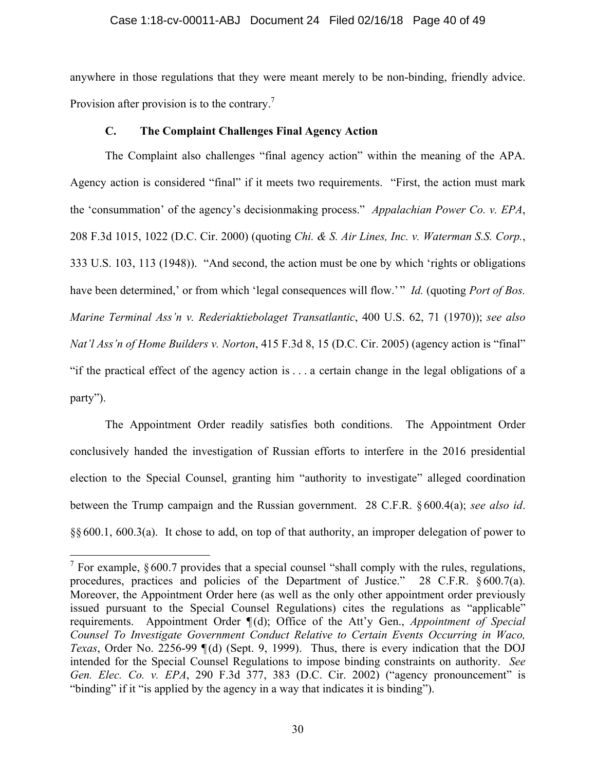#### Case 1:18-cv-00011-ABJ Document 24 Filed 02/16/18 Page 40 of 49

anywhere in those regulations that they were meant merely to be non-binding, friendly advice. Provision after provision is to the contrary.<sup>7</sup>

### **C. The Complaint Challenges Final Agency Action**

The Complaint also challenges "final agency action" within the meaning of the APA. Agency action is considered "final" if it meets two requirements. "First, the action must mark the 'consummation' of the agency's decisionmaking process." *Appalachian Power Co. v. EPA*, 208 F.3d 1015, 1022 (D.C. Cir. 2000) (quoting *Chi. & S. Air Lines, Inc. v. Waterman S.S. Corp.*, 333 U.S. 103, 113 (1948)). "And second, the action must be one by which 'rights or obligations have been determined,' or from which 'legal consequences will flow.'" *Id.* (quoting *Port of Bos. Marine Terminal Ass'n v. Rederiaktiebolaget Transatlantic*, 400 U.S. 62, 71 (1970)); *see also Nat'l Ass'n of Home Builders v. Norton*, 415 F.3d 8, 15 (D.C. Cir. 2005) (agency action is "final" "if the practical effect of the agency action is . . . a certain change in the legal obligations of a party").

The Appointment Order readily satisfies both conditions. The Appointment Order conclusively handed the investigation of Russian efforts to interfere in the 2016 presidential election to the Special Counsel, granting him "authority to investigate" alleged coordination between the Trump campaign and the Russian government. 28 C.F.R. § 600.4(a); *see also id*. §§600.1, 600.3(a). It chose to add, on top of that authority, an improper delegation of power to

1

<sup>&</sup>lt;sup>7</sup> For example,  $§ 600.7$  provides that a special counsel "shall comply with the rules, regulations, procedures, practices and policies of the Department of Justice." 28 C.F.R. § 600.7(a). Moreover, the Appointment Order here (as well as the only other appointment order previously issued pursuant to the Special Counsel Regulations) cites the regulations as "applicable" requirements. Appointment Order  $\P(d)$ ; Office of the Att'y Gen., *Appointment of Special Counsel To Investigate Government Conduct Relative to Certain Events Occurring in Waco, Texas*, Order No. 2256-99  $\P(d)$  (Sept. 9, 1999). Thus, there is every indication that the DOJ intended for the Special Counsel Regulations to impose binding constraints on authority. *See Gen. Elec. Co. v. EPA*, 290 F.3d 377, 383 (D.C. Cir. 2002) ("agency pronouncement" is "binding" if it "is applied by the agency in a way that indicates it is binding").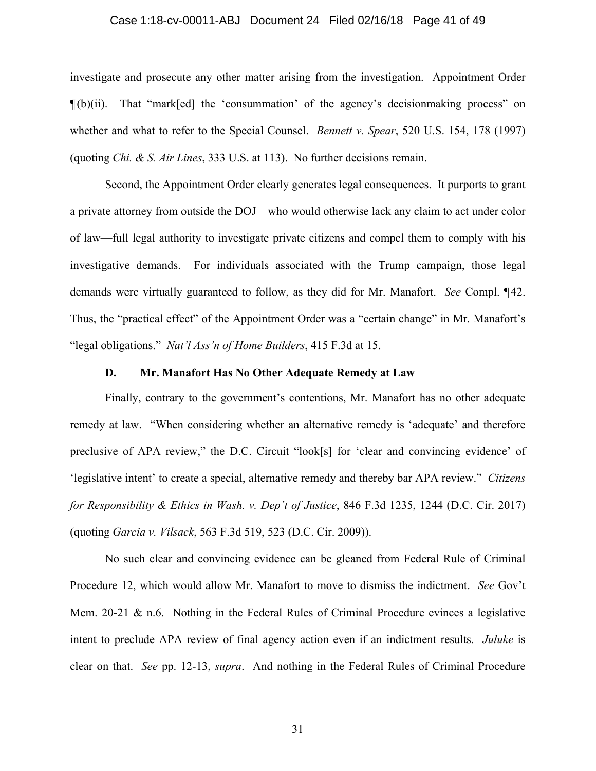#### Case 1:18-cv-00011-ABJ Document 24 Filed 02/16/18 Page 41 of 49

investigate and prosecute any other matter arising from the investigation. Appointment Order ¶ (b)(ii). That "mark[ed] the 'consummation' of the agency's decisionmaking process" on whether and what to refer to the Special Counsel. *Bennett v. Spear*, 520 U.S. 154, 178 (1997) (quoting *Chi. & S. Air Lines*, 333 U.S. at 113). No further decisions remain.

Second, the Appointment Order clearly generates legal consequences. It purports to grant a private attorney from outside the DOJ—who would otherwise lack any claim to act under color of law—full legal authority to investigate private citizens and compel them to comply with his investigative demands. For individuals associated with the Trump campaign, those legal demands were virtually guaranteed to follow, as they did for Mr. Manafort. *See* Compl. ¶ 42. Thus, the "practical effect" of the Appointment Order was a "certain change" in Mr. Manafort's "legal obligations." *Nat'l Ass'n of Home Builders*, 415 F.3d at 15.

#### **D. Mr. Manafort Has No Other Adequate Remedy at Law**

Finally, contrary to the government's contentions, Mr. Manafort has no other adequate remedy at law. "When considering whether an alternative remedy is 'adequate' and therefore preclusive of APA review," the D.C. Circuit "look[s] for 'clear and convincing evidence' of 'legislative intent' to create a special, alternative remedy and thereby bar APA review." *Citizens for Responsibility & Ethics in Wash. v. Dep't of Justice*, 846 F.3d 1235, 1244 (D.C. Cir. 2017) (quoting *Garcia v. Vilsack*, 563 F.3d 519, 523 (D.C. Cir. 2009)).

No such clear and convincing evidence can be gleaned from Federal Rule of Criminal Procedure 12, which would allow Mr. Manafort to move to dismiss the indictment. *See* Gov't Mem. 20-21 & n.6. Nothing in the Federal Rules of Criminal Procedure evinces a legislative intent to preclude APA review of final agency action even if an indictment results. *Juluke* is clear on that. *See* pp. 12-13, *supra*. And nothing in the Federal Rules of Criminal Procedure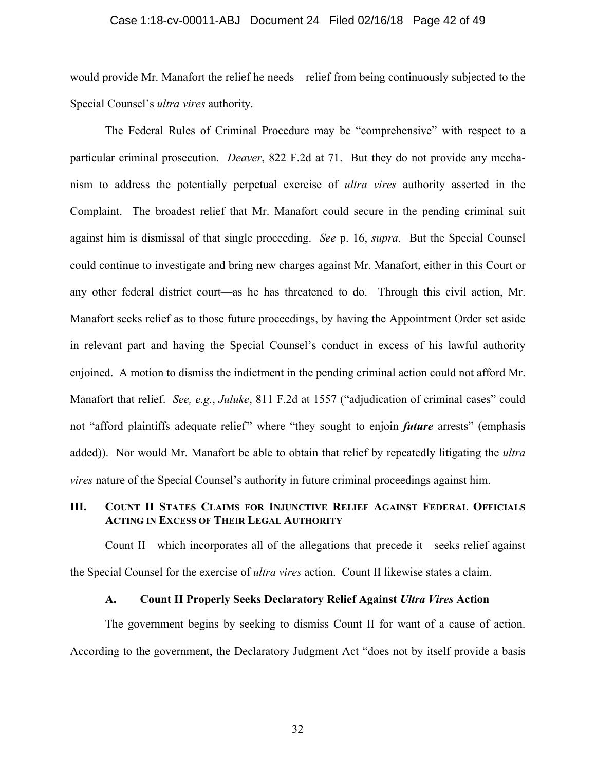#### Case 1:18-cv-00011-ABJ Document 24 Filed 02/16/18 Page 42 of 49

would provide Mr. Manafort the relief he needs—relief from being continuously subjected to the Special Counsel's *ultra vires* authority.

The Federal Rules of Criminal Procedure may be "comprehensive" with respect to a particular criminal prosecution. *Deaver*, 822 F.2d at 71. But they do not provide any mechanism to address the potentially perpetual exercise of *ultra vires* authority asserted in the Complaint. The broadest relief that Mr. Manafort could secure in the pending criminal suit against him is dismissal of that single proceeding. *See* p. 16, *supra*. But the Special Counsel could continue to investigate and bring new charges against Mr. Manafort, either in this Court or any other federal district court—as he has threatened to do. Through this civil action, Mr. Manafort seeks relief as to those future proceedings, by having the Appointment Order set aside in relevant part and having the Special Counsel's conduct in excess of his lawful authority enjoined. A motion to dismiss the indictment in the pending criminal action could not afford Mr. Manafort that relief. *See, e.g.*, *Juluke*, 811 F.2d at 1557 ("adjudication of criminal cases" could not "afford plaintiffs adequate relief" where "they sought to enjoin *future* arrests" (emphasis added)). Nor would Mr. Manafort be able to obtain that relief by repeatedly litigating the *ultra vires* nature of the Special Counsel's authority in future criminal proceedings against him.

### **III. COUNT II STATES CLAIMS FOR INJUNCTIVE RELIEF AGAINST FEDERAL OFFICIALS ACTING IN EXCESS OF THEIR LEGAL AUTHORITY**

Count II—which incorporates all of the allegations that precede it—seeks relief against the Special Counsel for the exercise of *ultra vires* action. Count II likewise states a claim.

#### **A. Count II Properly Seeks Declaratory Relief Against** *Ultra Vires* **Action**

The government begins by seeking to dismiss Count II for want of a cause of action. According to the government, the Declaratory Judgment Act "does not by itself provide a basis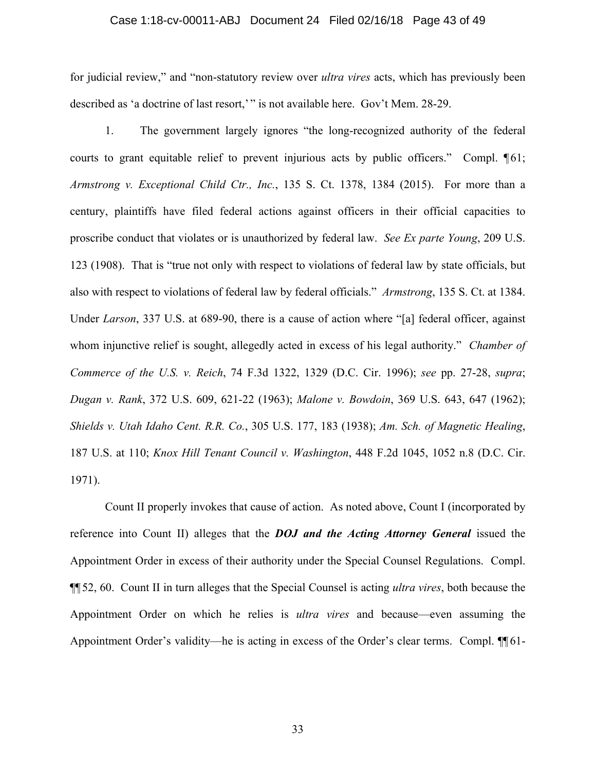#### Case 1:18-cv-00011-ABJ Document 24 Filed 02/16/18 Page 43 of 49

for judicial review," and "non-statutory review over *ultra vires* acts, which has previously been described as 'a doctrine of last resort,'" is not available here. Gov't Mem. 28-29.

1. The government largely ignores "the long-recognized authority of the federal courts to grant equitable relief to prevent injurious acts by public officers." Compl. [61; *Armstrong v. Exceptional Child Ctr., Inc.*, 135 S. Ct. 1378, 1384 (2015). For more than a century, plaintiffs have filed federal actions against officers in their official capacities to proscribe conduct that violates or is unauthorized by federal law. *See Ex parte Young*, 209 U.S. 123 (1908). That is "true not only with respect to violations of federal law by state officials, but also with respect to violations of federal law by federal officials." *Armstrong*, 135 S. Ct. at 1384. Under *Larson*, 337 U.S. at 689-90, there is a cause of action where "[a] federal officer, against whom injunctive relief is sought, allegedly acted in excess of his legal authority." *Chamber of Commerce of the U.S. v. Reich*, 74 F.3d 1322, 1329 (D.C. Cir. 1996); *see* pp. 27-28, *supra*; *Dugan v. Rank*, 372 U.S. 609, 621-22 (1963); *Malone v. Bowdoin*, 369 U.S. 643, 647 (1962); *Shields v. Utah Idaho Cent. R.R. Co.*, 305 U.S. 177, 183 (1938); *Am. Sch. of Magnetic Healing*, 187 U.S. at 110; *Knox Hill Tenant Council v. Washington*, 448 F.2d 1045, 1052 n.8 (D.C. Cir. 1971).

Count II properly invokes that cause of action. As noted above, Count I (incorporated by reference into Count II) alleges that the *DOJ and the Acting Attorney General* issued the Appointment Order in excess of their authority under the Special Counsel Regulations. Compl. ¶¶ 52, 60. Count II in turn alleges that the Special Counsel is acting *ultra vires*, both because the Appointment Order on which he relies is *ultra vires* and because—even assuming the Appointment Order's validity—he is acting in excess of the Order's clear terms. Compl. ¶¶ 61-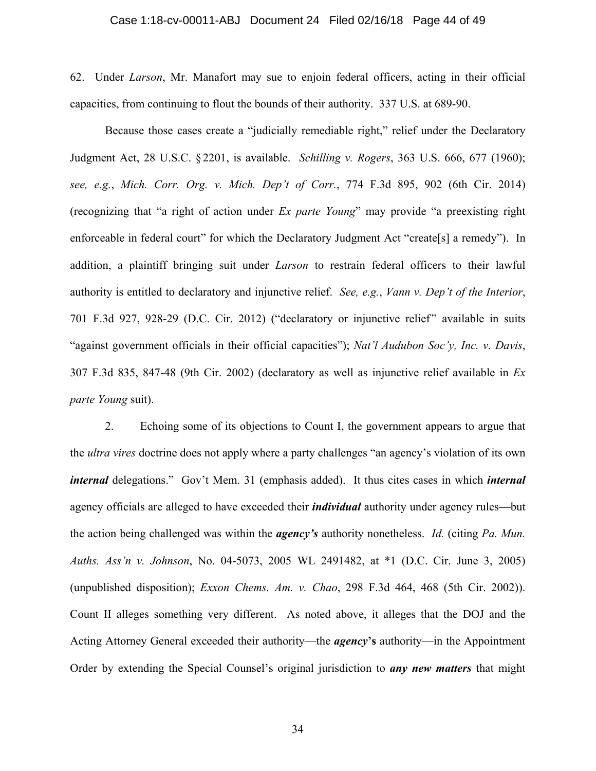#### Case 1:18-cv-00011-ABJ Document 24 Filed 02/16/18 Page 44 of 49

62. Under *Larson*, Mr. Manafort may sue to enjoin federal officers, acting in their official capacities, from continuing to flout the bounds of their authority. 337 U.S. at 689-90.

Because those cases create a "judicially remediable right," relief under the Declaratory Judgment Act, 28 U.S.C. § 2201, is available. *Schilling v. Rogers*, 363 U.S. 666, 677 (1960); *see, e.g.*, *Mich. Corr. Org. v. Mich. Dep't of Corr.*, 774 F.3d 895, 902 (6th Cir. 2014) (recognizing that "a right of action under *Ex parte Young*" may provide "a preexisting right enforceable in federal court" for which the Declaratory Judgment Act "create[s] a remedy"). In addition, a plaintiff bringing suit under *Larson* to restrain federal officers to their lawful authority is entitled to declaratory and injunctive relief. *See, e.g.*, *Vann v. Dep't of the Interior*, 701 F.3d 927, 928-29 (D.C. Cir. 2012) ("declaratory or injunctive relief" available in suits "against government officials in their official capacities"); *Nat'l Audubon Soc'y, Inc. v. Davis*, 307 F.3d 835, 847-48 (9th Cir. 2002) (declaratory as well as injunctive relief available in *Ex parte Young* suit).

2. Echoing some of its objections to Count I, the government appears to argue that the *ultra vires* doctrine does not apply where a party challenges "an agency's violation of its own *internal* delegations." Gov't Mem. 31 (emphasis added). It thus cites cases in which *internal* agency officials are alleged to have exceeded their *individual* authority under agency rules—but the action being challenged was within the *agency's* authority nonetheless. *Id.* (citing *Pa. Mun. Auths. Ass'n v. Johnson*, No. 04-5073, 2005 WL 2491482, at \*1 (D.C. Cir. June 3, 2005) (unpublished disposition); *Exxon Chems. Am. v. Chao*, 298 F.3d 464, 468 (5th Cir. 2002)). Count II alleges something very different. As noted above, it alleges that the DOJ and the Acting Attorney General exceeded their authority—the *agency***'s** authority—in the Appointment Order by extending the Special Counsel's original jurisdiction to *any new matters* that might

34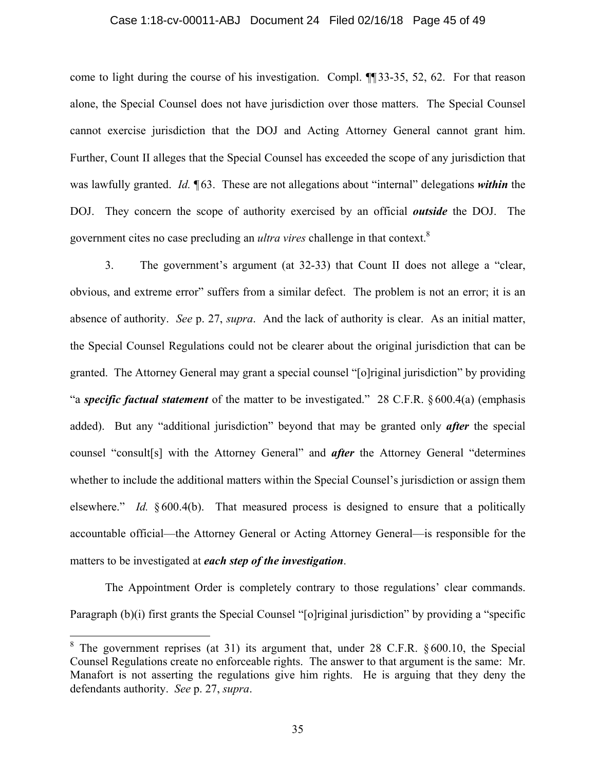#### Case 1:18-cv-00011-ABJ Document 24 Filed 02/16/18 Page 45 of 49

come to light during the course of his investigation. Compl. ¶¶ 33-35, 52, 62. For that reason alone, the Special Counsel does not have jurisdiction over those matters. The Special Counsel cannot exercise jurisdiction that the DOJ and Acting Attorney General cannot grant him. Further, Count II alleges that the Special Counsel has exceeded the scope of any jurisdiction that was lawfully granted. *Id.* **[63.** These are not allegations about "internal" delegations *within* the DOJ. They concern the scope of authority exercised by an official *outside* the DOJ. The government cites no case precluding an *ultra vires* challenge in that context.8

3. The government's argument (at 32-33) that Count II does not allege a "clear, obvious, and extreme error" suffers from a similar defect. The problem is not an error; it is an absence of authority. *See* p. 27, *supra*. And the lack of authority is clear. As an initial matter, the Special Counsel Regulations could not be clearer about the original jurisdiction that can be granted. The Attorney General may grant a special counsel "[o]riginal jurisdiction" by providing "a *specific factual statement* of the matter to be investigated." 28 C.F.R. §600.4(a) (emphasis added). But any "additional jurisdiction" beyond that may be granted only *after* the special counsel "consult[s] with the Attorney General" and *after* the Attorney General "determines whether to include the additional matters within the Special Counsel's jurisdiction or assign them elsewhere." *Id.* § 600.4(b). That measured process is designed to ensure that a politically accountable official—the Attorney General or Acting Attorney General—is responsible for the matters to be investigated at *each step of the investigation*.

The Appointment Order is completely contrary to those regulations' clear commands. Paragraph (b)(i) first grants the Special Counsel "[o]riginal jurisdiction" by providing a "specific

1

<sup>&</sup>lt;sup>8</sup> The government reprises (at 31) its argument that, under 28 C.F.R.  $§ 600.10$ , the Special Counsel Regulations create no enforceable rights. The answer to that argument is the same: Mr. Manafort is not asserting the regulations give him rights. He is arguing that they deny the defendants authority. *See* p. 27, *supra*.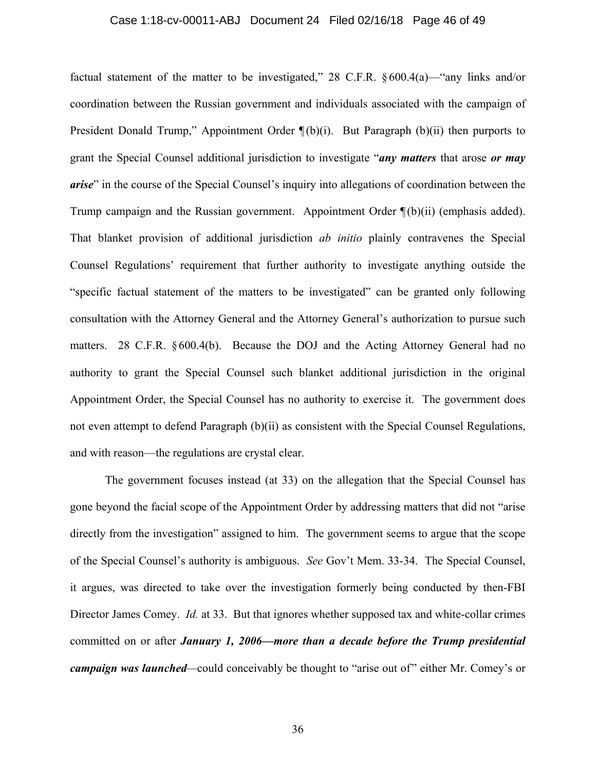## Case 1:18-cv-00011-ABJ Document 24 Filed 02/16/18 Page 46 of 49

factual statement of the matter to be investigated," 28 C.F.R.  $\S 600.4(a)$ —"any links and/or coordination between the Russian government and individuals associated with the campaign of President Donald Trump," Appointment Order  $\P(b)(i)$ . But Paragraph (b)(ii) then purports to grant the Special Counsel additional jurisdiction to investigate "*any matters* that arose *or may arise*" in the course of the Special Counsel's inquiry into allegations of coordination between the Trump campaign and the Russian government. Appointment Order  $\P(b)(ii)$  (emphasis added). That blanket provision of additional jurisdiction *ab initio* plainly contravenes the Special Counsel Regulations' requirement that further authority to investigate anything outside the "specific factual statement of the matters to be investigated" can be granted only following consultation with the Attorney General and the Attorney General's authorization to pursue such matters. 28 C.F.R. § 600.4(b). Because the DOJ and the Acting Attorney General had no authority to grant the Special Counsel such blanket additional jurisdiction in the original Appointment Order, the Special Counsel has no authority to exercise it. The government does not even attempt to defend Paragraph (b)(ii) as consistent with the Special Counsel Regulations, and with reason—the regulations are crystal clear.

The government focuses instead (at 33) on the allegation that the Special Counsel has gone beyond the facial scope of the Appointment Order by addressing matters that did not "arise directly from the investigation" assigned to him. The government seems to argue that the scope of the Special Counsel's authority is ambiguous. *See* Gov't Mem. 33-34. The Special Counsel, it argues, was directed to take over the investigation formerly being conducted by then-FBI Director James Comey. *Id.* at 33. But that ignores whether supposed tax and white-collar crimes committed on or after *January 1, 2006—more than a decade before the Trump presidential campaign was launched—*could conceivably be thought to "arise out of" either Mr. Comey's or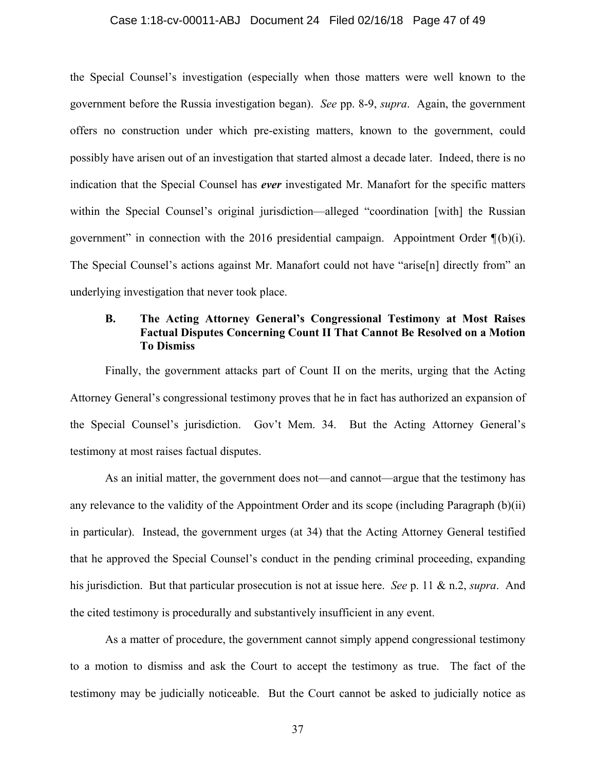#### Case 1:18-cv-00011-ABJ Document 24 Filed 02/16/18 Page 47 of 49

the Special Counsel's investigation (especially when those matters were well known to the government before the Russia investigation began). *See* pp. 8-9, *supra*. Again, the government offers no construction under which pre-existing matters, known to the government, could possibly have arisen out of an investigation that started almost a decade later. Indeed, there is no indication that the Special Counsel has *ever* investigated Mr. Manafort for the specific matters within the Special Counsel's original jurisdiction—alleged "coordination [with] the Russian government" in connection with the 2016 presidential campaign. Appointment Order  $\P(b)(i)$ . The Special Counsel's actions against Mr. Manafort could not have "arise[n] directly from" an underlying investigation that never took place.

### **B. The Acting Attorney General's Congressional Testimony at Most Raises Factual Disputes Concerning Count II That Cannot Be Resolved on a Motion To Dismiss**

Finally, the government attacks part of Count II on the merits, urging that the Acting Attorney General's congressional testimony proves that he in fact has authorized an expansion of the Special Counsel's jurisdiction. Gov't Mem. 34. But the Acting Attorney General's testimony at most raises factual disputes.

As an initial matter, the government does not—and cannot—argue that the testimony has any relevance to the validity of the Appointment Order and its scope (including Paragraph (b)(ii) in particular). Instead, the government urges (at 34) that the Acting Attorney General testified that he approved the Special Counsel's conduct in the pending criminal proceeding, expanding his jurisdiction. But that particular prosecution is not at issue here. *See* p. 11 & n.2, *supra*. And the cited testimony is procedurally and substantively insufficient in any event.

As a matter of procedure, the government cannot simply append congressional testimony to a motion to dismiss and ask the Court to accept the testimony as true. The fact of the testimony may be judicially noticeable. But the Court cannot be asked to judicially notice as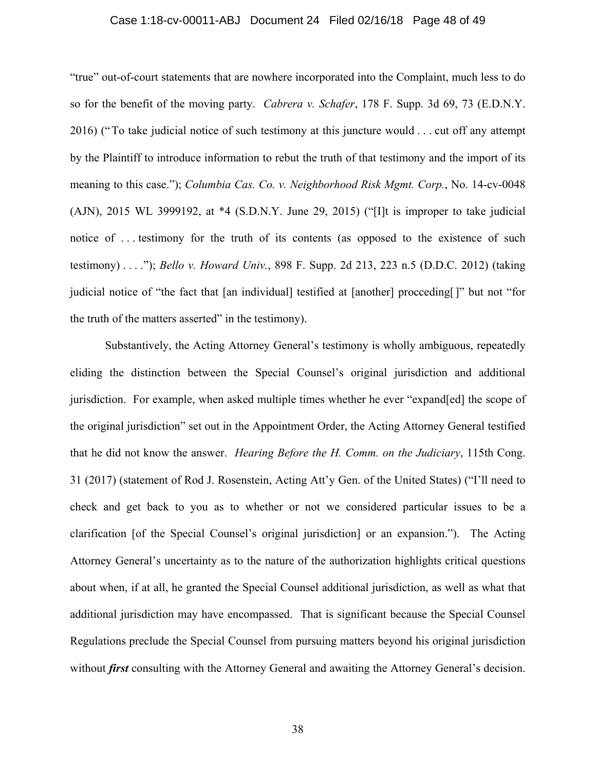#### Case 1:18-cv-00011-ABJ Document 24 Filed 02/16/18 Page 48 of 49

"true" out-of-court statements that are nowhere incorporated into the Complaint, much less to do so for the benefit of the moving party. *Cabrera v. Schafer*, 178 F. Supp. 3d 69, 73 (E.D.N.Y. 2016) (" To take judicial notice of such testimony at this juncture would . . . cut off any attempt by the Plaintiff to introduce information to rebut the truth of that testimony and the import of its meaning to this case."); *Columbia Cas. Co. v. Neighborhood Risk Mgmt. Corp.*, No. 14-cv-0048 (AJN), 2015 WL 3999192, at \*4 (S.D.N.Y. June 29, 2015) ("[I]t is improper to take judicial notice of . . . testimony for the truth of its contents (as opposed to the existence of such testimony) . . . ."); *Bello v. Howard Univ.*, 898 F. Supp. 2d 213, 223 n.5 (D.D.C. 2012) (taking judicial notice of "the fact that [an individual] testified at [another] procceding[]" but not "for the truth of the matters asserted" in the testimony).

Substantively, the Acting Attorney General's testimony is wholly ambiguous, repeatedly eliding the distinction between the Special Counsel's original jurisdiction and additional jurisdiction. For example, when asked multiple times whether he ever "expand[ed] the scope of the original jurisdiction" set out in the Appointment Order, the Acting Attorney General testified that he did not know the answer. *Hearing Before the H. Comm. on the Judiciary*, 115th Cong. 31 (2017) (statement of Rod J. Rosenstein, Acting Att'y Gen. of the United States) ("I'll need to check and get back to you as to whether or not we considered particular issues to be a clarification [of the Special Counsel's original jurisdiction] or an expansion."). The Acting Attorney General's uncertainty as to the nature of the authorization highlights critical questions about when, if at all, he granted the Special Counsel additional jurisdiction, as well as what that additional jurisdiction may have encompassed. That is significant because the Special Counsel Regulations preclude the Special Counsel from pursuing matters beyond his original jurisdiction without *first* consulting with the Attorney General and awaiting the Attorney General's decision.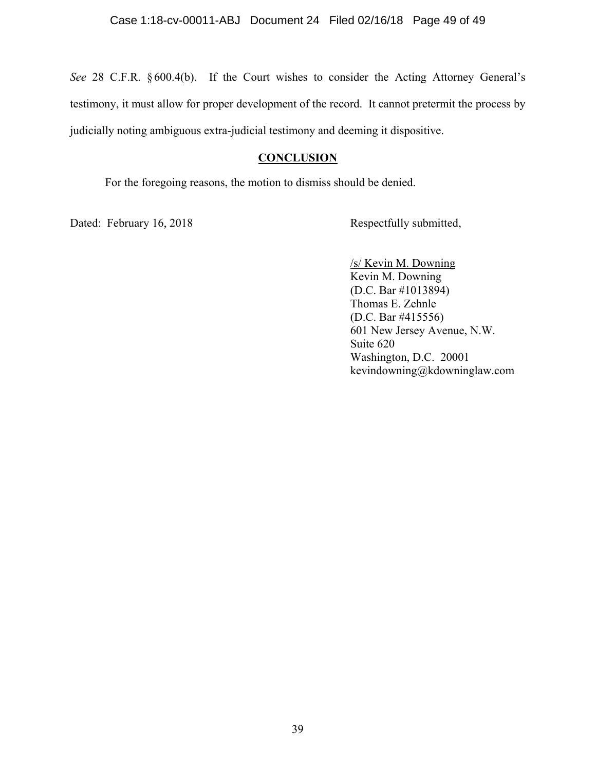*See* 28 C.F.R. § 600.4(b). If the Court wishes to consider the Acting Attorney General's testimony, it must allow for proper development of the record. It cannot pretermit the process by judicially noting ambiguous extra-judicial testimony and deeming it dispositive.

### **CONCLUSION**

For the foregoing reasons, the motion to dismiss should be denied.

Dated: February 16, 2018 Respectfully submitted,

 /s/ Kevin M. Downing Kevin M. Downing (D.C. Bar #1013894) Thomas E. Zehnle (D.C. Bar #415556) 601 New Jersey Avenue, N.W. Suite 620 Washington, D.C. 20001 kevindowning@kdowninglaw.com